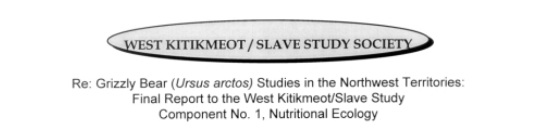

# Re: Grizzly Bear (Ursus arctos) Studies in the Northwest Territories: Final Report to the West Kitikmeot/Slave Study Component No. 1, Nutritional Ecology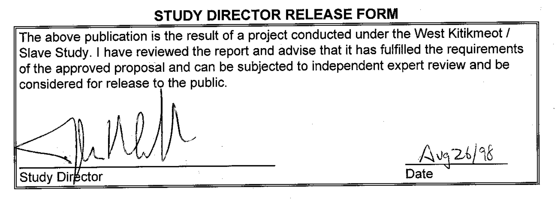# STUDY DIRECTOR RELEASE FORM

The above publication is the result of a project conducted under the West Kitikmeot / Slave Study. I have reviewed the report and advise that it has fulfilled the requirements of the approved proposal and can be subjected to independent expert review and be considered for release to the public.

Date

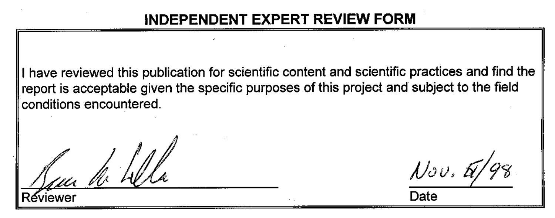# **INDEPENDENT EXPERT REVIEW FORM**

I have reviewed this publication for scientific content and scientific practices and find the report is acceptable given the specific purposes of this project and subject to the field conditions encountered.

Jur de h

 $Nov, H$ Date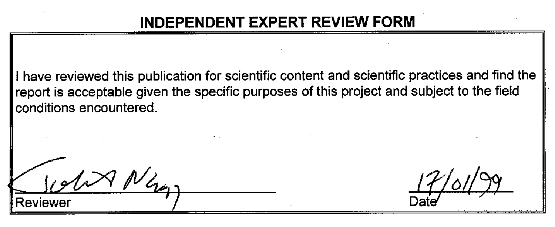# **INDEPENDENT EXPERT REVIEW FORM**

I have reviewed this publication for scientific content and scientific practices and find the report is acceptable given the specific purposes of this project and subject to the field conditions encountered.

Reviewer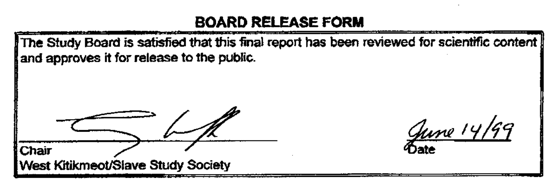#### **BOARD RELEASE FORM**

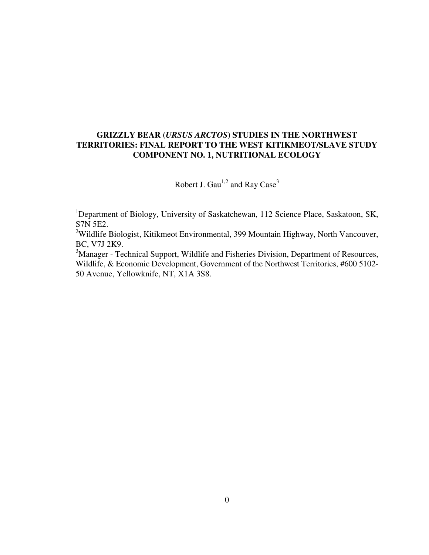# **GRIZZLY BEAR (***URSUS ARCTOS***) STUDIES IN THE NORTHWEST TERRITORIES: FINAL REPORT TO THE WEST KITIKMEOT/SLAVE STUDY COMPONENT NO. 1, NUTRITIONAL ECOLOGY**

Robert J. Gau<sup>1,2</sup> and Ray Case<sup>3</sup>

<sup>1</sup>Department of Biology, University of Saskatchewan, 112 Science Place, Saskatoon, SK, S7N 5E2.

<sup>2</sup>Wildlife Biologist, Kitikmeot Environmental, 399 Mountain Highway, North Vancouver, BC, V7J 2K9.

<sup>3</sup>Manager - Technical Support, Wildlife and Fisheries Division, Department of Resources, Wildlife, & Economic Development, Government of the Northwest Territories, #600 5102- 50 Avenue, Yellowknife, NT, X1A 3S8.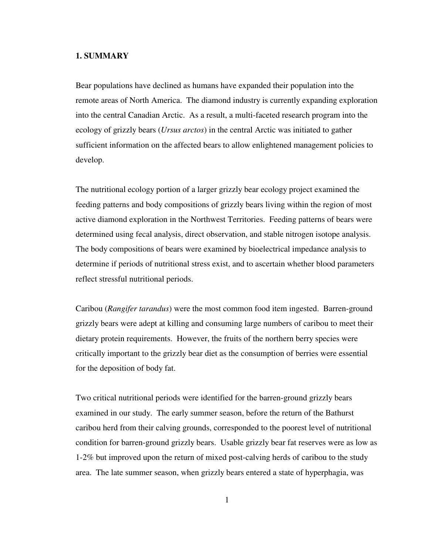# **1. SUMMARY**

Bear populations have declined as humans have expanded their population into the remote areas of North America. The diamond industry is currently expanding exploration into the central Canadian Arctic. As a result, a multi-faceted research program into the ecology of grizzly bears (*Ursus arctos*) in the central Arctic was initiated to gather sufficient information on the affected bears to allow enlightened management policies to develop.

The nutritional ecology portion of a larger grizzly bear ecology project examined the feeding patterns and body compositions of grizzly bears living within the region of most active diamond exploration in the Northwest Territories. Feeding patterns of bears were determined using fecal analysis, direct observation, and stable nitrogen isotope analysis. The body compositions of bears were examined by bioelectrical impedance analysis to determine if periods of nutritional stress exist, and to ascertain whether blood parameters reflect stressful nutritional periods.

Caribou (*Rangifer tarandus*) were the most common food item ingested. Barren-ground grizzly bears were adept at killing and consuming large numbers of caribou to meet their dietary protein requirements. However, the fruits of the northern berry species were critically important to the grizzly bear diet as the consumption of berries were essential for the deposition of body fat.

Two critical nutritional periods were identified for the barren-ground grizzly bears examined in our study. The early summer season, before the return of the Bathurst caribou herd from their calving grounds, corresponded to the poorest level of nutritional condition for barren-ground grizzly bears. Usable grizzly bear fat reserves were as low as 1-2% but improved upon the return of mixed post-calving herds of caribou to the study area. The late summer season, when grizzly bears entered a state of hyperphagia, was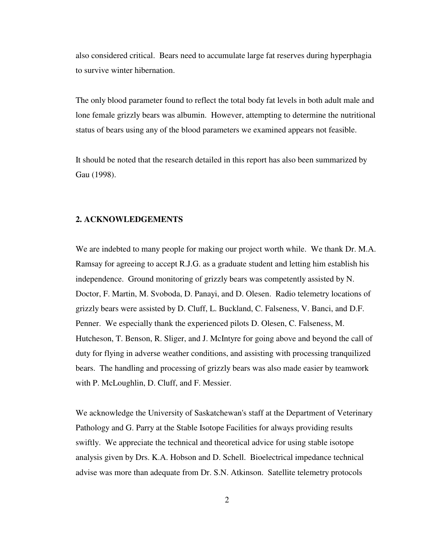also considered critical. Bears need to accumulate large fat reserves during hyperphagia to survive winter hibernation.

The only blood parameter found to reflect the total body fat levels in both adult male and lone female grizzly bears was albumin. However, attempting to determine the nutritional status of bears using any of the blood parameters we examined appears not feasible.

It should be noted that the research detailed in this report has also been summarized by Gau (1998).

# **2. ACKNOWLEDGEMENTS**

We are indebted to many people for making our project worth while. We thank Dr. M.A. Ramsay for agreeing to accept R.J.G. as a graduate student and letting him establish his independence. Ground monitoring of grizzly bears was competently assisted by N. Doctor, F. Martin, M. Svoboda, D. Panayi, and D. Olesen. Radio telemetry locations of grizzly bears were assisted by D. Cluff, L. Buckland, C. Falseness, V. Banci, and D.F. Penner. We especially thank the experienced pilots D. Olesen, C. Falseness, M. Hutcheson, T. Benson, R. Sliger, and J. McIntyre for going above and beyond the call of duty for flying in adverse weather conditions, and assisting with processing tranquilized bears. The handling and processing of grizzly bears was also made easier by teamwork with P. McLoughlin, D. Cluff, and F. Messier.

We acknowledge the University of Saskatchewan's staff at the Department of Veterinary Pathology and G. Parry at the Stable Isotope Facilities for always providing results swiftly. We appreciate the technical and theoretical advice for using stable isotope analysis given by Drs. K.A. Hobson and D. Schell. Bioelectrical impedance technical advise was more than adequate from Dr. S.N. Atkinson. Satellite telemetry protocols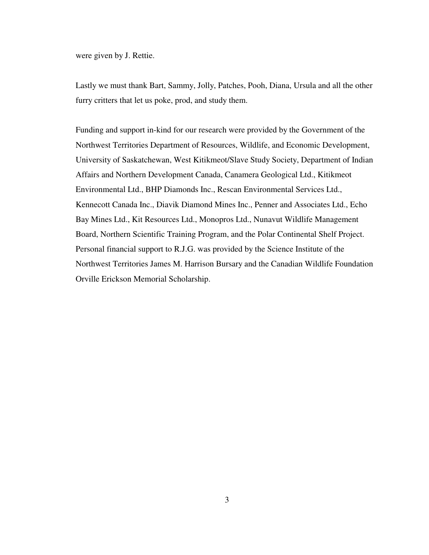were given by J. Rettie.

Lastly we must thank Bart, Sammy, Jolly, Patches, Pooh, Diana, Ursula and all the other furry critters that let us poke, prod, and study them.

Funding and support in-kind for our research were provided by the Government of the Northwest Territories Department of Resources, Wildlife, and Economic Development, University of Saskatchewan, West Kitikmeot/Slave Study Society, Department of Indian Affairs and Northern Development Canada, Canamera Geological Ltd., Kitikmeot Environmental Ltd., BHP Diamonds Inc., Rescan Environmental Services Ltd., Kennecott Canada Inc., Diavik Diamond Mines Inc., Penner and Associates Ltd., Echo Bay Mines Ltd., Kit Resources Ltd., Monopros Ltd., Nunavut Wildlife Management Board, Northern Scientific Training Program, and the Polar Continental Shelf Project. Personal financial support to R.J.G. was provided by the Science Institute of the Northwest Territories James M. Harrison Bursary and the Canadian Wildlife Foundation Orville Erickson Memorial Scholarship.

3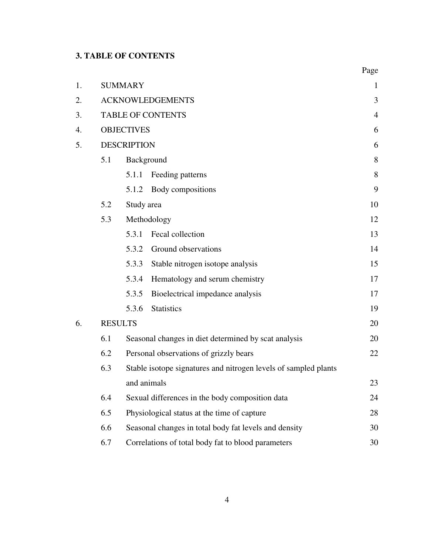# **3. TABLE OF CONTENTS**

|    |     |                                                                                |                                                       | Page           |  |  |  |  |
|----|-----|--------------------------------------------------------------------------------|-------------------------------------------------------|----------------|--|--|--|--|
| 1. |     | <b>SUMMARY</b>                                                                 |                                                       | $\mathbf{1}$   |  |  |  |  |
| 2. |     | <b>ACKNOWLEDGEMENTS</b>                                                        |                                                       |                |  |  |  |  |
| 3. |     |                                                                                | <b>TABLE OF CONTENTS</b>                              | $\overline{4}$ |  |  |  |  |
| 4. |     | <b>OBJECTIVES</b>                                                              |                                                       |                |  |  |  |  |
| 5. |     | <b>DESCRIPTION</b>                                                             |                                                       | 6              |  |  |  |  |
|    | 5.1 | Background                                                                     |                                                       | 8              |  |  |  |  |
|    |     | 5.1.1                                                                          | Feeding patterns                                      | 8              |  |  |  |  |
|    |     | 5.1.2                                                                          | Body compositions                                     | 9              |  |  |  |  |
|    | 5.2 | Study area                                                                     |                                                       |                |  |  |  |  |
|    | 5.3 | Methodology                                                                    |                                                       |                |  |  |  |  |
|    |     | 5.3.1                                                                          | Fecal collection                                      | 13             |  |  |  |  |
|    |     | 5.3.2                                                                          | Ground observations                                   | 14             |  |  |  |  |
|    |     | 5.3.3                                                                          | Stable nitrogen isotope analysis                      | 15             |  |  |  |  |
|    |     | 5.3.4                                                                          | Hematology and serum chemistry                        | 17             |  |  |  |  |
|    |     | 5.3.5                                                                          | Bioelectrical impedance analysis                      | 17             |  |  |  |  |
|    |     | 5.3.6                                                                          | <b>Statistics</b>                                     | 19             |  |  |  |  |
| 6. |     | <b>RESULTS</b>                                                                 |                                                       | 20             |  |  |  |  |
|    | 6.1 | Seasonal changes in diet determined by scat analysis                           |                                                       |                |  |  |  |  |
|    | 6.2 | Personal observations of grizzly bears                                         |                                                       |                |  |  |  |  |
|    | 6.3 | Stable isotope signatures and nitrogen levels of sampled plants<br>and animals |                                                       |                |  |  |  |  |
|    |     |                                                                                |                                                       |                |  |  |  |  |
|    | 6.4 | Sexual differences in the body composition data                                |                                                       |                |  |  |  |  |
|    | 6.5 | Physiological status at the time of capture                                    |                                                       |                |  |  |  |  |
|    | 6.6 |                                                                                | Seasonal changes in total body fat levels and density | 30             |  |  |  |  |
|    | 6.7 | Correlations of total body fat to blood parameters                             |                                                       |                |  |  |  |  |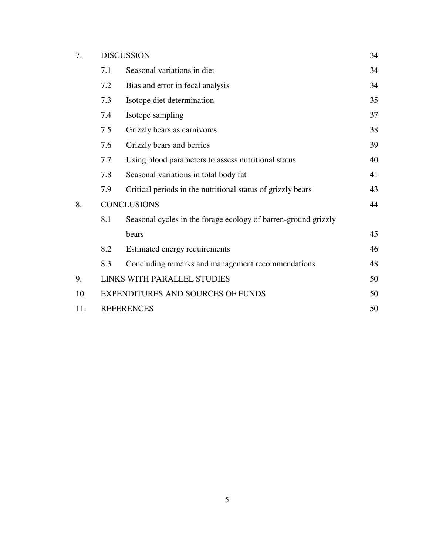| 7. | <b>DISCUSSION</b> |                                                                |  |  |  |  |
|----|-------------------|----------------------------------------------------------------|--|--|--|--|
|    | 7.1               | Seasonal variations in diet                                    |  |  |  |  |
|    | 7.2               | Bias and error in fecal analysis                               |  |  |  |  |
|    | 7.3               | Isotope diet determination                                     |  |  |  |  |
|    | 7.4               | Isotope sampling                                               |  |  |  |  |
|    | 7.5               | Grizzly bears as carnivores                                    |  |  |  |  |
|    | 7.6               | Grizzly bears and berries                                      |  |  |  |  |
|    | 7.7               | Using blood parameters to assess nutritional status            |  |  |  |  |
|    | 7.8               | Seasonal variations in total body fat                          |  |  |  |  |
|    | 7.9               | Critical periods in the nutritional status of grizzly bears    |  |  |  |  |
| 8. |                   | <b>CONCLUSIONS</b>                                             |  |  |  |  |
|    | 8.1               | Seasonal cycles in the forage ecology of barren-ground grizzly |  |  |  |  |
|    |                   | bears                                                          |  |  |  |  |
|    | 8.2               | Estimated energy requirements                                  |  |  |  |  |
|    | 8.3               | Concluding remarks and management recommendations              |  |  |  |  |

34

34

34

35

37

38

39

40

41

43

44

45

46

48

| $9^{+}$ | LINKS WITH PARALLEL STUDIES       | 50 |
|---------|-----------------------------------|----|
| 10.     | EXPENDITURES AND SOURCES OF FUNDS | 50 |
|         | 11. REFERENCES                    | 50 |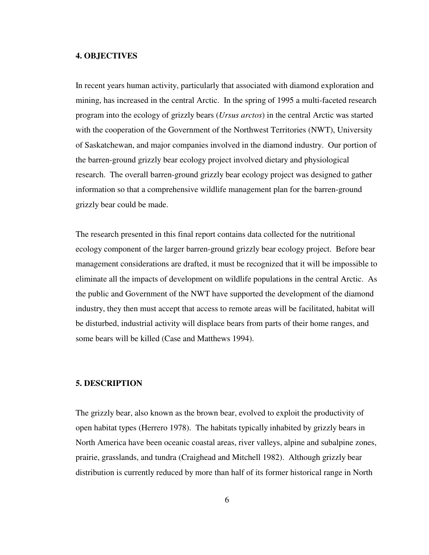## **4. OBJECTIVES**

In recent years human activity, particularly that associated with diamond exploration and mining, has increased in the central Arctic. In the spring of 1995 a multi-faceted research program into the ecology of grizzly bears (*Ursus arctos*) in the central Arctic was started with the cooperation of the Government of the Northwest Territories (NWT), University of Saskatchewan, and major companies involved in the diamond industry. Our portion of the barren-ground grizzly bear ecology project involved dietary and physiological research. The overall barren-ground grizzly bear ecology project was designed to gather information so that a comprehensive wildlife management plan for the barren-ground grizzly bear could be made.

The research presented in this final report contains data collected for the nutritional ecology component of the larger barren-ground grizzly bear ecology project. Before bear management considerations are drafted, it must be recognized that it will be impossible to eliminate all the impacts of development on wildlife populations in the central Arctic. As the public and Government of the NWT have supported the development of the diamond industry, they then must accept that access to remote areas will be facilitated, habitat will be disturbed, industrial activity will displace bears from parts of their home ranges, and some bears will be killed (Case and Matthews 1994).

# **5. DESCRIPTION**

The grizzly bear, also known as the brown bear, evolved to exploit the productivity of open habitat types (Herrero 1978). The habitats typically inhabited by grizzly bears in North America have been oceanic coastal areas, river valleys, alpine and subalpine zones, prairie, grasslands, and tundra (Craighead and Mitchell 1982). Although grizzly bear distribution is currently reduced by more than half of its former historical range in North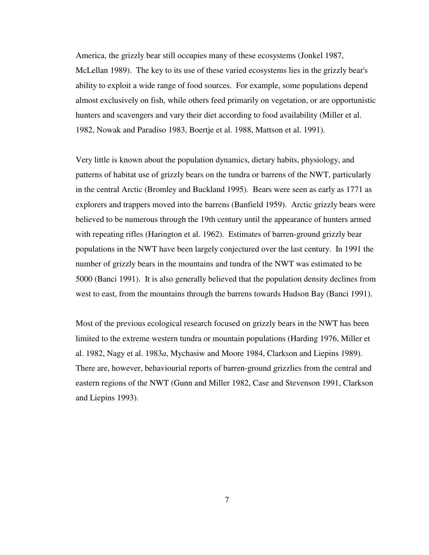America, the grizzly bear still occupies many of these ecosystems (Jonkel 1987, McLellan 1989). The key to its use of these varied ecosystems lies in the grizzly bear's ability to exploit a wide range of food sources. For example, some populations depend almost exclusively on fish, while others feed primarily on vegetation, or are opportunistic hunters and scavengers and vary their diet according to food availability (Miller et al. 1982, Nowak and Paradiso 1983, Boertje et al. 1988, Mattson et al. 1991).

Very little is known about the population dynamics, dietary habits, physiology, and patterns of habitat use of grizzly bears on the tundra or barrens of the NWT, particularly in the central Arctic (Bromley and Buckland 1995). Bears were seen as early as 1771 as explorers and trappers moved into the barrens (Banfield 1959). Arctic grizzly bears were believed to be numerous through the 19th century until the appearance of hunters armed with repeating rifles (Harington et al. 1962). Estimates of barren-ground grizzly bear populations in the NWT have been largely conjectured over the last century. In 1991 the number of grizzly bears in the mountains and tundra of the NWT was estimated to be 5000 (Banci 1991). It is also generally believed that the population density declines from west to east, from the mountains through the barrens towards Hudson Bay (Banci 1991).

Most of the previous ecological research focused on grizzly bears in the NWT has been limited to the extreme western tundra or mountain populations (Harding 1976, Miller et al. 1982, Nagy et al. 1983*a*, Mychasiw and Moore 1984, Clarkson and Liepins 1989). There are, however, behaviourial reports of barren-ground grizzlies from the central and eastern regions of the NWT (Gunn and Miller 1982, Case and Stevenson 1991, Clarkson and Liepins 1993).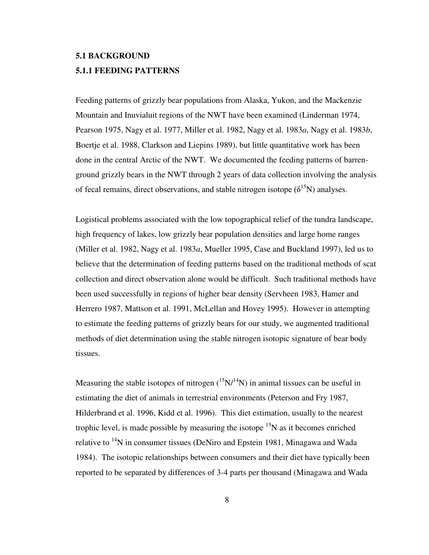# **5.1 BACKGROUND 5.1.1 FEEDING PATTERNS**

Feeding patterns of grizzly bear populations from Alaska, Yukon, and the Mackenzie Mountain and Inuvialuit regions of the NWT have been examined (Linderman 1974, Pearson 1975, Nagy et al. 1977, Miller et al. 1982, Nagy et al. 1983*a*, Nagy et al. 1983*b*, Boertje et al. 1988, Clarkson and Liepins 1989), but little quantitative work has been done in the central Arctic of the NWT. We documented the feeding patterns of barrenground grizzly bears in the NWT through 2 years of data collection involving the analysis of fecal remains, direct observations, and stable nitrogen isotope  $(\delta^{15}N)$  analyses.

Logistical problems associated with the low topographical relief of the tundra landscape, high frequency of lakes, low grizzly bear population densities and large home ranges (Miller et al. 1982, Nagy et al. 1983*a*, Mueller 1995, Case and Buckland 1997), led us to believe that the determination of feeding patterns based on the traditional methods of scat collection and direct observation alone would be difficult. Such traditional methods have been used successfully in regions of higher bear density (Servheen 1983, Hamer and Herrero 1987, Mattson et al. 1991, McLellan and Hovey 1995). However in attempting to estimate the feeding patterns of grizzly bears for our study, we augmented traditional methods of diet determination using the stable nitrogen isotopic signature of bear body tissues.

Measuring the stable isotopes of nitrogen  $({}^{15}N/{}^{14}N)$  in animal tissues can be useful in estimating the diet of animals in terrestrial environments (Peterson and Fry 1987, Hilderbrand et al. 1996, Kidd et al. 1996). This diet estimation, usually to the nearest trophic level, is made possible by measuring the isotope  ${}^{15}N$  as it becomes enriched relative to  $14N$  in consumer tissues (DeNiro and Epstein 1981, Minagawa and Wada 1984). The isotopic relationships between consumers and their diet have typically been reported to be separated by differences of 3-4 parts per thousand (Minagawa and Wada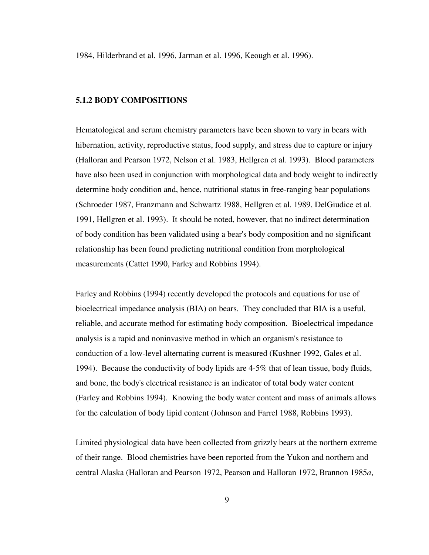1984, Hilderbrand et al. 1996, Jarman et al. 1996, Keough et al. 1996).

# **5.1.2 BODY COMPOSITIONS**

Hematological and serum chemistry parameters have been shown to vary in bears with hibernation, activity, reproductive status, food supply, and stress due to capture or injury (Halloran and Pearson 1972, Nelson et al. 1983, Hellgren et al. 1993). Blood parameters have also been used in conjunction with morphological data and body weight to indirectly determine body condition and, hence, nutritional status in free-ranging bear populations (Schroeder 1987, Franzmann and Schwartz 1988, Hellgren et al. 1989, DelGiudice et al. 1991, Hellgren et al. 1993). It should be noted, however, that no indirect determination of body condition has been validated using a bear's body composition and no significant relationship has been found predicting nutritional condition from morphological measurements (Cattet 1990, Farley and Robbins 1994).

Farley and Robbins (1994) recently developed the protocols and equations for use of bioelectrical impedance analysis (BIA) on bears. They concluded that BIA is a useful, reliable, and accurate method for estimating body composition. Bioelectrical impedance analysis is a rapid and noninvasive method in which an organism's resistance to conduction of a low-level alternating current is measured (Kushner 1992, Gales et al. 1994). Because the conductivity of body lipids are 4-5% that of lean tissue, body fluids, and bone, the body's electrical resistance is an indicator of total body water content (Farley and Robbins 1994). Knowing the body water content and mass of animals allows for the calculation of body lipid content (Johnson and Farrel 1988, Robbins 1993).

Limited physiological data have been collected from grizzly bears at the northern extreme of their range. Blood chemistries have been reported from the Yukon and northern and central Alaska (Halloran and Pearson 1972, Pearson and Halloran 1972, Brannon 1985*a*,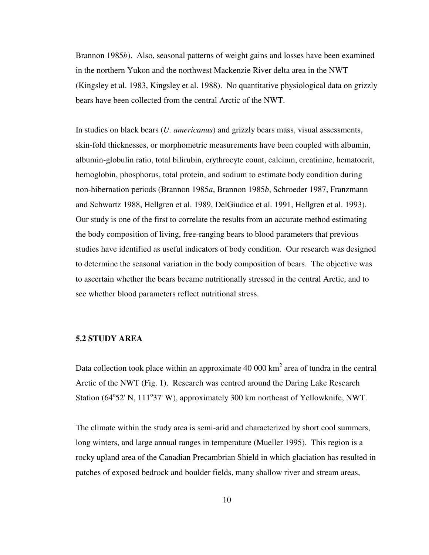Brannon 1985*b*). Also, seasonal patterns of weight gains and losses have been examined in the northern Yukon and the northwest Mackenzie River delta area in the NWT (Kingsley et al. 1983, Kingsley et al. 1988). No quantitative physiological data on grizzly bears have been collected from the central Arctic of the NWT.

In studies on black bears (*U. americanus*) and grizzly bears mass, visual assessments, skin-fold thicknesses, or morphometric measurements have been coupled with albumin, albumin-globulin ratio, total bilirubin, erythrocyte count, calcium, creatinine, hematocrit, hemoglobin, phosphorus, total protein, and sodium to estimate body condition during non-hibernation periods (Brannon 1985*a*, Brannon 1985*b*, Schroeder 1987, Franzmann and Schwartz 1988, Hellgren et al. 1989, DelGiudice et al. 1991, Hellgren et al. 1993). Our study is one of the first to correlate the results from an accurate method estimating the body composition of living, free-ranging bears to blood parameters that previous studies have identified as useful indicators of body condition. Our research was designed to determine the seasonal variation in the body composition of bears. The objective was to ascertain whether the bears became nutritionally stressed in the central Arctic, and to see whether blood parameters reflect nutritional stress.

# **5.2 STUDY AREA**

Data collection took place within an approximate 40 000  $\text{km}^2$  area of tundra in the central Arctic of the NWT (Fig. 1). Research was centred around the Daring Lake Research Station (64°52' N, 111°37' W), approximately 300 km northeast of Yellowknife, NWT.

The climate within the study area is semi-arid and characterized by short cool summers, long winters, and large annual ranges in temperature (Mueller 1995). This region is a rocky upland area of the Canadian Precambrian Shield in which glaciation has resulted in patches of exposed bedrock and boulder fields, many shallow river and stream areas,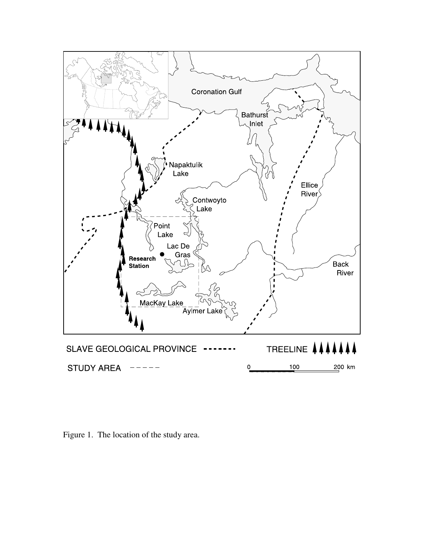

Figure 1. The location of the study area.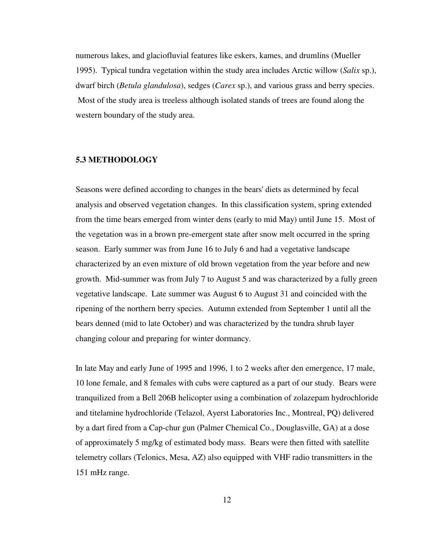numerous lakes, and glaciofluvial features like eskers, kames, and drumlins (Mueller 1995). Typical tundra vegetation within the study area includes Arctic willow (*Salix* sp.), dwarf birch (*Betula glandulosa*), sedges (*Carex* sp.), and various grass and berry species. Most of the study area is treeless although isolated stands of trees are found along the western boundary of the study area.

# **5.3 METHODOLOGY**

Seasons were defined according to changes in the bears' diets as determined by fecal analysis and observed vegetation changes. In this classification system, spring extended from the time bears emerged from winter dens (early to mid May) until June 15. Most of the vegetation was in a brown pre-emergent state after snow melt occurred in the spring season. Early summer was from June 16 to July 6 and had a vegetative landscape characterized by an even mixture of old brown vegetation from the year before and new growth. Mid-summer was from July 7 to August 5 and was characterized by a fully green vegetative landscape. Late summer was August 6 to August 31 and coincided with the ripening of the northern berry species. Autumn extended from September 1 until all the bears denned (mid to late October) and was characterized by the tundra shrub layer changing colour and preparing for winter dormancy.

In late May and early June of 1995 and 1996, 1 to 2 weeks after den emergence, 17 male, 10 lone female, and 8 females with cubs were captured as a part of our study. Bears were tranquilized from a Bell 206B helicopter using a combination of zolazepam hydrochloride and titelamine hydrochloride (Telazol, Ayerst Laboratories Inc., Montreal, PQ) delivered by a dart fired from a Cap-chur gun (Palmer Chemical Co., Douglasville, GA) at a dose of approximately 5 mg/kg of estimated body mass. Bears were then fitted with satellite telemetry collars (Telonics, Mesa, AZ) also equipped with VHF radio transmitters in the 151 mHz range.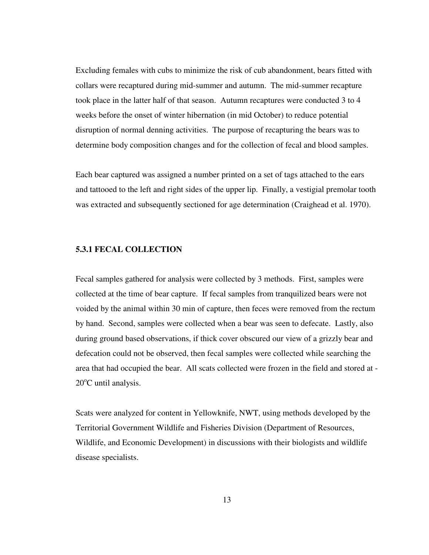Excluding females with cubs to minimize the risk of cub abandonment, bears fitted with collars were recaptured during mid-summer and autumn. The mid-summer recapture took place in the latter half of that season. Autumn recaptures were conducted 3 to 4 weeks before the onset of winter hibernation (in mid October) to reduce potential disruption of normal denning activities. The purpose of recapturing the bears was to determine body composition changes and for the collection of fecal and blood samples.

Each bear captured was assigned a number printed on a set of tags attached to the ears and tattooed to the left and right sides of the upper lip. Finally, a vestigial premolar tooth was extracted and subsequently sectioned for age determination (Craighead et al. 1970).

#### **5.3.1 FECAL COLLECTION**

Fecal samples gathered for analysis were collected by 3 methods. First, samples were collected at the time of bear capture. If fecal samples from tranquilized bears were not voided by the animal within 30 min of capture, then feces were removed from the rectum by hand. Second, samples were collected when a bear was seen to defecate. Lastly, also during ground based observations, if thick cover obscured our view of a grizzly bear and defecation could not be observed, then fecal samples were collected while searching the area that had occupied the bear. All scats collected were frozen in the field and stored at - 20°C until analysis.

Scats were analyzed for content in Yellowknife, NWT, using methods developed by the Territorial Government Wildlife and Fisheries Division (Department of Resources, Wildlife, and Economic Development) in discussions with their biologists and wildlife disease specialists.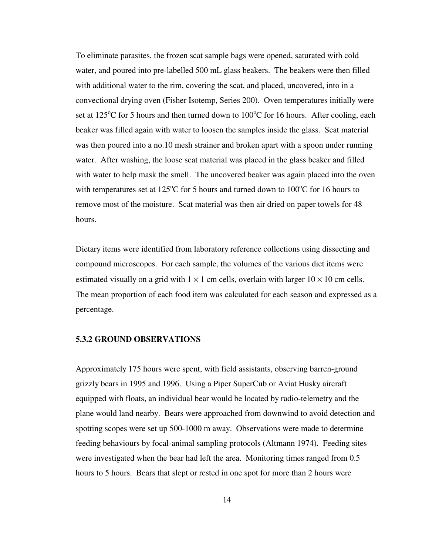To eliminate parasites, the frozen scat sample bags were opened, saturated with cold water, and poured into pre-labelled 500 mL glass beakers. The beakers were then filled with additional water to the rim, covering the scat, and placed, uncovered, into in a convectional drying oven (Fisher Isotemp, Series 200). Oven temperatures initially were set at  $125^{\circ}$ C for 5 hours and then turned down to  $100^{\circ}$ C for 16 hours. After cooling, each beaker was filled again with water to loosen the samples inside the glass. Scat material was then poured into a no.10 mesh strainer and broken apart with a spoon under running water. After washing, the loose scat material was placed in the glass beaker and filled with water to help mask the smell. The uncovered beaker was again placed into the oven with temperatures set at  $125^{\circ}$ C for 5 hours and turned down to  $100^{\circ}$ C for 16 hours to remove most of the moisture. Scat material was then air dried on paper towels for 48 hours.

Dietary items were identified from laboratory reference collections using dissecting and compound microscopes. For each sample, the volumes of the various diet items were estimated visually on a grid with  $1 \times 1$  cm cells, overlain with larger  $10 \times 10$  cm cells. The mean proportion of each food item was calculated for each season and expressed as a percentage.

# **5.3.2 GROUND OBSERVATIONS**

Approximately 175 hours were spent, with field assistants, observing barren-ground grizzly bears in 1995 and 1996. Using a Piper SuperCub or Aviat Husky aircraft equipped with floats, an individual bear would be located by radio-telemetry and the plane would land nearby. Bears were approached from downwind to avoid detection and spotting scopes were set up 500-1000 m away. Observations were made to determine feeding behaviours by focal-animal sampling protocols (Altmann 1974). Feeding sites were investigated when the bear had left the area. Monitoring times ranged from 0.5 hours to 5 hours. Bears that slept or rested in one spot for more than 2 hours were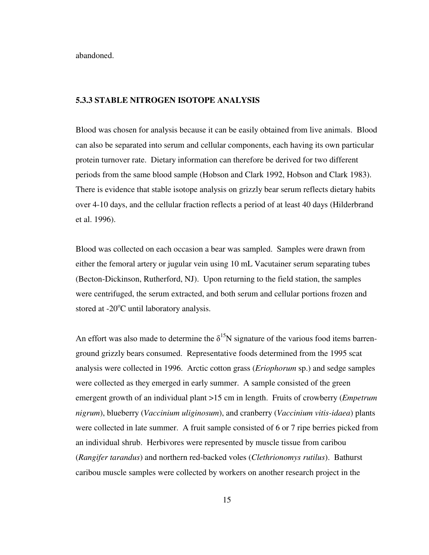abandoned.

# **5.3.3 STABLE NITROGEN ISOTOPE ANALYSIS**

Blood was chosen for analysis because it can be easily obtained from live animals. Blood can also be separated into serum and cellular components, each having its own particular protein turnover rate. Dietary information can therefore be derived for two different periods from the same blood sample (Hobson and Clark 1992, Hobson and Clark 1983). There is evidence that stable isotope analysis on grizzly bear serum reflects dietary habits over 4-10 days, and the cellular fraction reflects a period of at least 40 days (Hilderbrand et al. 1996).

Blood was collected on each occasion a bear was sampled. Samples were drawn from either the femoral artery or jugular vein using 10 mL Vacutainer serum separating tubes (Becton-Dickinson, Rutherford, NJ). Upon returning to the field station, the samples were centrifuged, the serum extracted, and both serum and cellular portions frozen and stored at  $-20^{\circ}$ C until laboratory analysis.

An effort was also made to determine the  $\delta^{15}N$  signature of the various food items barrenground grizzly bears consumed. Representative foods determined from the 1995 scat analysis were collected in 1996. Arctic cotton grass (*Eriophorum* sp.) and sedge samples were collected as they emerged in early summer. A sample consisted of the green emergent growth of an individual plant >15 cm in length. Fruits of crowberry (*Empetrum nigrum*), blueberry (*Vaccinium uliginosum*), and cranberry (*Vaccinium vitis-idaea*) plants were collected in late summer. A fruit sample consisted of 6 or 7 ripe berries picked from an individual shrub. Herbivores were represented by muscle tissue from caribou (*Rangifer tarandus*) and northern red-backed voles (*Clethrionomys rutilus*). Bathurst caribou muscle samples were collected by workers on another research project in the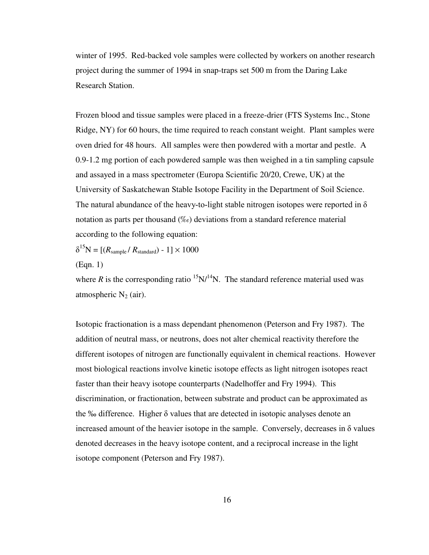winter of 1995. Red-backed vole samples were collected by workers on another research project during the summer of 1994 in snap-traps set 500 m from the Daring Lake Research Station.

Frozen blood and tissue samples were placed in a freeze-drier (FTS Systems Inc., Stone Ridge, NY) for 60 hours, the time required to reach constant weight. Plant samples were oven dried for 48 hours. All samples were then powdered with a mortar and pestle. A 0.9-1.2 mg portion of each powdered sample was then weighed in a tin sampling capsule and assayed in a mass spectrometer (Europa Scientific 20/20, Crewe, UK) at the University of Saskatchewan Stable Isotope Facility in the Department of Soil Science. The natural abundance of the heavy-to-light stable nitrogen isotopes were reported in  $\delta$ notation as parts per thousand (‰) deviations from a standard reference material according to the following equation:

 $\delta^{15}N = [(R_{\text{sample}}/R_{\text{standard}}) - 1] \times 1000$ 

(Eqn. 1)

where *R* is the corresponding ratio  $15N/14N$ . The standard reference material used was atmospheric  $N_2$  (air).

Isotopic fractionation is a mass dependant phenomenon (Peterson and Fry 1987). The addition of neutral mass, or neutrons, does not alter chemical reactivity therefore the different isotopes of nitrogen are functionally equivalent in chemical reactions. However most biological reactions involve kinetic isotope effects as light nitrogen isotopes react faster than their heavy isotope counterparts (Nadelhoffer and Fry 1994). This discrimination, or fractionation, between substrate and product can be approximated as the ‰ difference. Higher δ values that are detected in isotopic analyses denote an increased amount of the heavier isotope in the sample. Conversely, decreases in  $\delta$  values denoted decreases in the heavy isotope content, and a reciprocal increase in the light isotope component (Peterson and Fry 1987).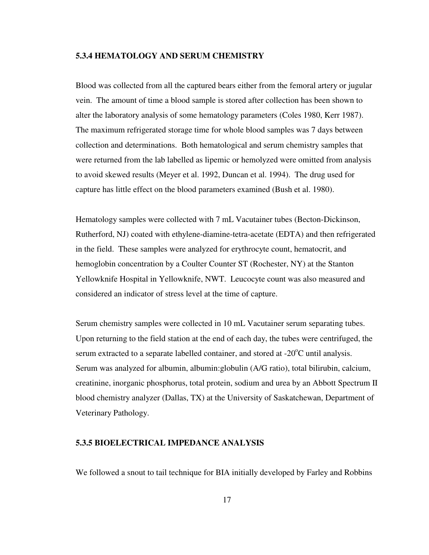# **5.3.4 HEMATOLOGY AND SERUM CHEMISTRY**

Blood was collected from all the captured bears either from the femoral artery or jugular vein. The amount of time a blood sample is stored after collection has been shown to alter the laboratory analysis of some hematology parameters (Coles 1980, Kerr 1987). The maximum refrigerated storage time for whole blood samples was 7 days between collection and determinations. Both hematological and serum chemistry samples that were returned from the lab labelled as lipemic or hemolyzed were omitted from analysis to avoid skewed results (Meyer et al. 1992, Duncan et al. 1994). The drug used for capture has little effect on the blood parameters examined (Bush et al. 1980).

Hematology samples were collected with 7 mL Vacutainer tubes (Becton-Dickinson, Rutherford, NJ) coated with ethylene-diamine-tetra-acetate (EDTA) and then refrigerated in the field. These samples were analyzed for erythrocyte count, hematocrit, and hemoglobin concentration by a Coulter Counter ST (Rochester, NY) at the Stanton Yellowknife Hospital in Yellowknife, NWT. Leucocyte count was also measured and considered an indicator of stress level at the time of capture.

Serum chemistry samples were collected in 10 mL Vacutainer serum separating tubes. Upon returning to the field station at the end of each day, the tubes were centrifuged, the serum extracted to a separate labelled container, and stored at  $-20^{\circ}$ C until analysis. Serum was analyzed for albumin, albumin:globulin (A/G ratio), total bilirubin, calcium, creatinine, inorganic phosphorus, total protein, sodium and urea by an Abbott Spectrum II blood chemistry analyzer (Dallas, TX) at the University of Saskatchewan, Department of Veterinary Pathology.

# **5.3.5 BIOELECTRICAL IMPEDANCE ANALYSIS**

We followed a snout to tail technique for BIA initially developed by Farley and Robbins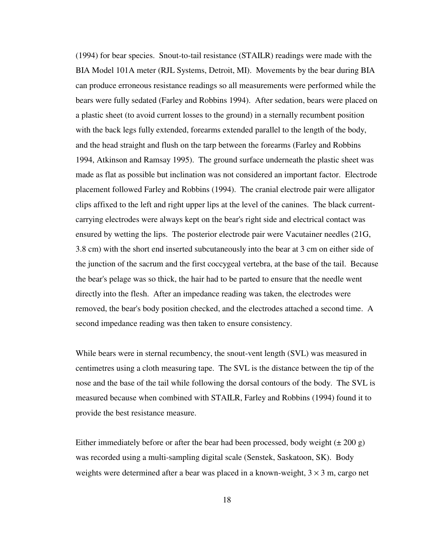(1994) for bear species. Snout-to-tail resistance (STAILR) readings were made with the BIA Model 101A meter (RJL Systems, Detroit, MI). Movements by the bear during BIA can produce erroneous resistance readings so all measurements were performed while the bears were fully sedated (Farley and Robbins 1994). After sedation, bears were placed on a plastic sheet (to avoid current losses to the ground) in a sternally recumbent position with the back legs fully extended, forearms extended parallel to the length of the body, and the head straight and flush on the tarp between the forearms (Farley and Robbins 1994, Atkinson and Ramsay 1995). The ground surface underneath the plastic sheet was made as flat as possible but inclination was not considered an important factor. Electrode placement followed Farley and Robbins (1994). The cranial electrode pair were alligator clips affixed to the left and right upper lips at the level of the canines. The black currentcarrying electrodes were always kept on the bear's right side and electrical contact was ensured by wetting the lips. The posterior electrode pair were Vacutainer needles (21G, 3.8 cm) with the short end inserted subcutaneously into the bear at 3 cm on either side of the junction of the sacrum and the first coccygeal vertebra, at the base of the tail. Because the bear's pelage was so thick, the hair had to be parted to ensure that the needle went directly into the flesh. After an impedance reading was taken, the electrodes were removed, the bear's body position checked, and the electrodes attached a second time. A second impedance reading was then taken to ensure consistency.

While bears were in sternal recumbency, the snout-vent length (SVL) was measured in centimetres using a cloth measuring tape. The SVL is the distance between the tip of the nose and the base of the tail while following the dorsal contours of the body. The SVL is measured because when combined with STAILR, Farley and Robbins (1994) found it to provide the best resistance measure.

Either immediately before or after the bear had been processed, body weight  $(\pm 200 \text{ g})$ was recorded using a multi-sampling digital scale (Senstek, Saskatoon, SK). Body weights were determined after a bear was placed in a known-weight,  $3 \times 3$  m, cargo net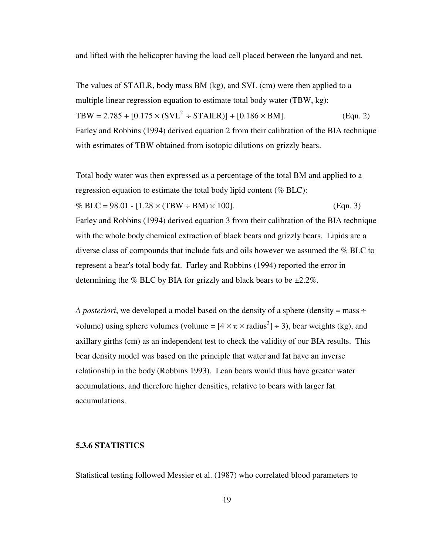and lifted with the helicopter having the load cell placed between the lanyard and net.

The values of STAILR, body mass BM (kg), and SVL (cm) were then applied to a multiple linear regression equation to estimate total body water (TBW, kg): TBW = 2.785 +  $[0.175 \times (SVL^2 \div STAILR)] + [0.186 \times BM]$ . (Eqn. 2) Farley and Robbins (1994) derived equation 2 from their calibration of the BIA technique with estimates of TBW obtained from isotopic dilutions on grizzly bears.

Total body water was then expressed as a percentage of the total BM and applied to a regression equation to estimate the total body lipid content (% BLC): % BLC =  $98.01 - [1.28 \times (TBW \div BM) \times 100]$ . (Eqn. 3) Farley and Robbins (1994) derived equation 3 from their calibration of the BIA technique with the whole body chemical extraction of black bears and grizzly bears. Lipids are a diverse class of compounds that include fats and oils however we assumed the % BLC to represent a bear's total body fat. Farley and Robbins (1994) reported the error in determining the % BLC by BIA for grizzly and black bears to be  $\pm 2.2\%$ .

*A posteriori*, we developed a model based on the density of a sphere (density  $=$  mass  $\div$ volume) using sphere volumes (volume =  $[4 \times \pi \times \text{radius}^3] \div 3$ ), bear weights (kg), and axillary girths (cm) as an independent test to check the validity of our BIA results. This bear density model was based on the principle that water and fat have an inverse relationship in the body (Robbins 1993). Lean bears would thus have greater water accumulations, and therefore higher densities, relative to bears with larger fat accumulations.

# **5.3.6 STATISTICS**

Statistical testing followed Messier et al. (1987) who correlated blood parameters to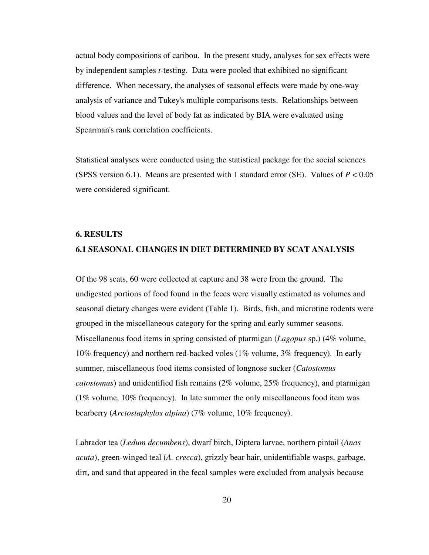actual body compositions of caribou. In the present study, analyses for sex effects were by independent samples *t*-testing. Data were pooled that exhibited no significant difference. When necessary, the analyses of seasonal effects were made by one-way analysis of variance and Tukey's multiple comparisons tests. Relationships between blood values and the level of body fat as indicated by BIA were evaluated using Spearman's rank correlation coefficients.

Statistical analyses were conducted using the statistical package for the social sciences (SPSS version 6.1). Means are presented with 1 standard error (SE). Values of  $P < 0.05$ were considered significant.

#### **6. RESULTS**

# **6.1 SEASONAL CHANGES IN DIET DETERMINED BY SCAT ANALYSIS**

Of the 98 scats, 60 were collected at capture and 38 were from the ground. The undigested portions of food found in the feces were visually estimated as volumes and seasonal dietary changes were evident (Table 1). Birds, fish, and microtine rodents were grouped in the miscellaneous category for the spring and early summer seasons. Miscellaneous food items in spring consisted of ptarmigan (*Lagopus* sp.) (4% volume, 10% frequency) and northern red-backed voles (1% volume, 3% frequency). In early summer, miscellaneous food items consisted of longnose sucker (*Catostomus catostomus*) and unidentified fish remains (2% volume, 25% frequency), and ptarmigan (1% volume, 10% frequency). In late summer the only miscellaneous food item was bearberry (*Arctostaphylos alpina*) (7% volume, 10% frequency).

Labrador tea (*Ledum decumbens*), dwarf birch, Diptera larvae, northern pintail (*Anas acuta*), green-winged teal (*A. crecca*), grizzly bear hair, unidentifiable wasps, garbage, dirt, and sand that appeared in the fecal samples were excluded from analysis because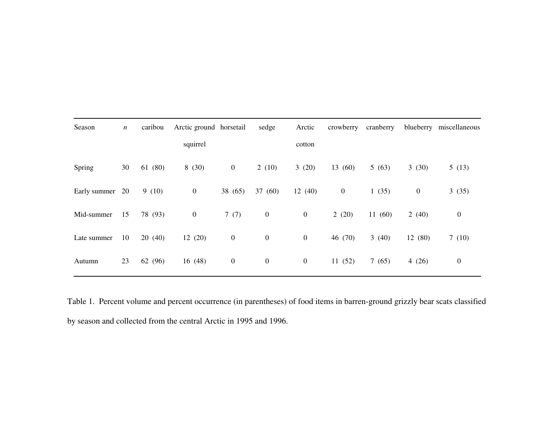| Season       | $\boldsymbol{n}$ | caribou | Arctic ground horsetail |                  | sedge            | Arctic           | crowberry        | cranberry | blueberry        | miscellaneous    |
|--------------|------------------|---------|-------------------------|------------------|------------------|------------------|------------------|-----------|------------------|------------------|
|              |                  |         | squirrel                |                  |                  | cotton           |                  |           |                  |                  |
| Spring       | 30               | 61 (80) | 8(30)                   | $\boldsymbol{0}$ | 2(10)            | 3(20)            | 13(60)           | 5(63)     | 3(30)            | 5(13)            |
| Early summer | 20               | 9(10)   | $\boldsymbol{0}$        | 38 (65)          | 37 (60)          | 12(40)           | $\boldsymbol{0}$ | 1(35)     | $\boldsymbol{0}$ | 3(35)            |
| Mid-summer   | 15               | 78 (93) | $\boldsymbol{0}$        | 7(7)             | $\boldsymbol{0}$ | $\boldsymbol{0}$ | 2(20)            | 11(60)    | 2(40)            | $\boldsymbol{0}$ |
| Late summer  | 10               | 20(40)  | 12(20)                  | $\boldsymbol{0}$ | $\boldsymbol{0}$ | $\boldsymbol{0}$ | 46 (70)          | 3(40)     | 12 (80)          | 7(10)            |
| Autumn       | 23               | 62 (96) | 16(48)                  | $\boldsymbol{0}$ | $\boldsymbol{0}$ | $\boldsymbol{0}$ | 11(52)           | 7(65)     | 4 $(26)$         | $\boldsymbol{0}$ |

 Table 1. Percent volume and percent occurrence (in parentheses) of food items in barren-ground grizzly bear scats classified by season and collected from the central Arctic in 1995 and 1996.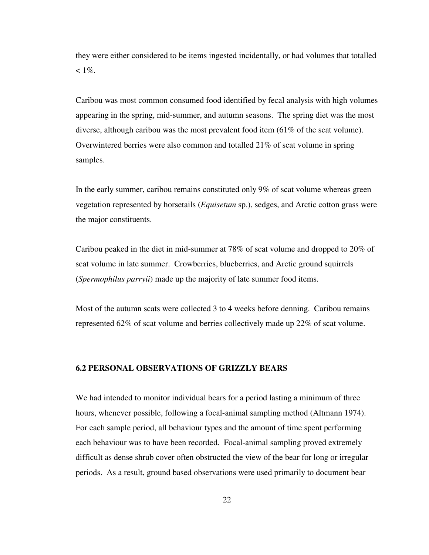they were either considered to be items ingested incidentally, or had volumes that totalled  $< 1\%$ .

Caribou was most common consumed food identified by fecal analysis with high volumes appearing in the spring, mid-summer, and autumn seasons. The spring diet was the most diverse, although caribou was the most prevalent food item (61% of the scat volume). Overwintered berries were also common and totalled 21% of scat volume in spring samples.

In the early summer, caribou remains constituted only 9% of scat volume whereas green vegetation represented by horsetails (*Equisetum* sp.), sedges, and Arctic cotton grass were the major constituents.

Caribou peaked in the diet in mid-summer at 78% of scat volume and dropped to 20% of scat volume in late summer. Crowberries, blueberries, and Arctic ground squirrels (*Spermophilus parryii*) made up the majority of late summer food items.

Most of the autumn scats were collected 3 to 4 weeks before denning. Caribou remains represented 62% of scat volume and berries collectively made up 22% of scat volume.

# **6.2 PERSONAL OBSERVATIONS OF GRIZZLY BEARS**

We had intended to monitor individual bears for a period lasting a minimum of three hours, whenever possible, following a focal-animal sampling method (Altmann 1974). For each sample period, all behaviour types and the amount of time spent performing each behaviour was to have been recorded. Focal-animal sampling proved extremely difficult as dense shrub cover often obstructed the view of the bear for long or irregular periods. As a result, ground based observations were used primarily to document bear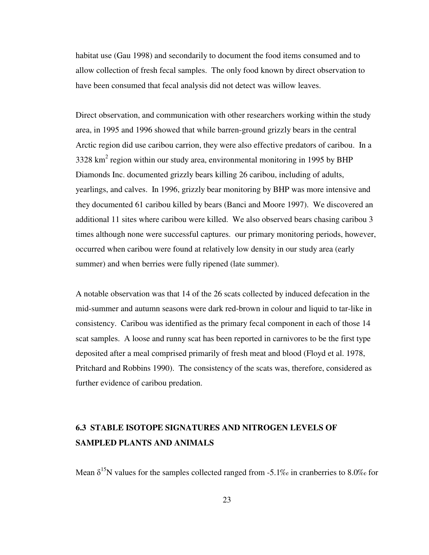habitat use (Gau 1998) and secondarily to document the food items consumed and to allow collection of fresh fecal samples. The only food known by direct observation to have been consumed that fecal analysis did not detect was willow leaves.

Direct observation, and communication with other researchers working within the study area, in 1995 and 1996 showed that while barren-ground grizzly bears in the central Arctic region did use caribou carrion, they were also effective predators of caribou. In a 3328 km<sup>2</sup> region within our study area, environmental monitoring in 1995 by BHP Diamonds Inc. documented grizzly bears killing 26 caribou, including of adults, yearlings, and calves. In 1996, grizzly bear monitoring by BHP was more intensive and they documented 61 caribou killed by bears (Banci and Moore 1997). We discovered an additional 11 sites where caribou were killed. We also observed bears chasing caribou 3 times although none were successful captures. our primary monitoring periods, however, occurred when caribou were found at relatively low density in our study area (early summer) and when berries were fully ripened (late summer).

A notable observation was that 14 of the 26 scats collected by induced defecation in the mid-summer and autumn seasons were dark red-brown in colour and liquid to tar-like in consistency. Caribou was identified as the primary fecal component in each of those 14 scat samples. A loose and runny scat has been reported in carnivores to be the first type deposited after a meal comprised primarily of fresh meat and blood (Floyd et al. 1978, Pritchard and Robbins 1990). The consistency of the scats was, therefore, considered as further evidence of caribou predation.

# **6.3 STABLE ISOTOPE SIGNATURES AND NITROGEN LEVELS OF SAMPLED PLANTS AND ANIMALS**

Mean  $\delta^{15}N$  values for the samples collected ranged from -5.1‰ in cranberries to 8.0‰ for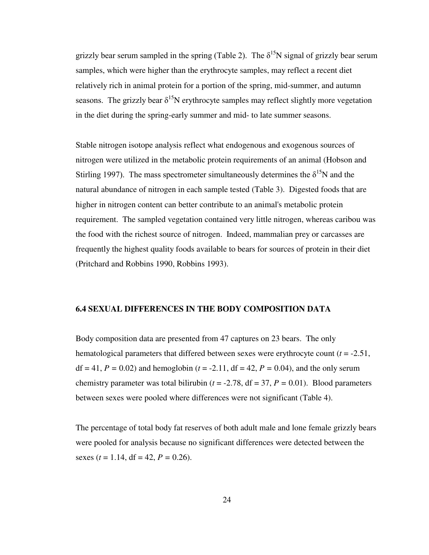grizzly bear serum sampled in the spring (Table 2). The  $\delta^{15}N$  signal of grizzly bear serum samples, which were higher than the erythrocyte samples, may reflect a recent diet relatively rich in animal protein for a portion of the spring, mid-summer, and autumn seasons. The grizzly bear  $\delta^{15}N$  erythrocyte samples may reflect slightly more vegetation in the diet during the spring-early summer and mid- to late summer seasons.

Stable nitrogen isotope analysis reflect what endogenous and exogenous sources of nitrogen were utilized in the metabolic protein requirements of an animal (Hobson and Stirling 1997). The mass spectrometer simultaneously determines the  $\delta^{15}N$  and the natural abundance of nitrogen in each sample tested (Table 3). Digested foods that are higher in nitrogen content can better contribute to an animal's metabolic protein requirement. The sampled vegetation contained very little nitrogen, whereas caribou was the food with the richest source of nitrogen. Indeed, mammalian prey or carcasses are frequently the highest quality foods available to bears for sources of protein in their diet (Pritchard and Robbins 1990, Robbins 1993).

### **6.4 SEXUAL DIFFERENCES IN THE BODY COMPOSITION DATA**

Body composition data are presented from 47 captures on 23 bears. The only hematological parameters that differed between sexes were erythrocyte count (*t* = -2.51, df = 41, *P =* 0.02) and hemoglobin (*t* = -2.11, df = 42, *P =* 0.04), and the only serum chemistry parameter was total bilirubin ( $t = -2.78$ ,  $df = 37$ ,  $P = 0.01$ ). Blood parameters between sexes were pooled where differences were not significant (Table 4).

The percentage of total body fat reserves of both adult male and lone female grizzly bears were pooled for analysis because no significant differences were detected between the sexes ( $t = 1.14$ , df = 42,  $P = 0.26$ ).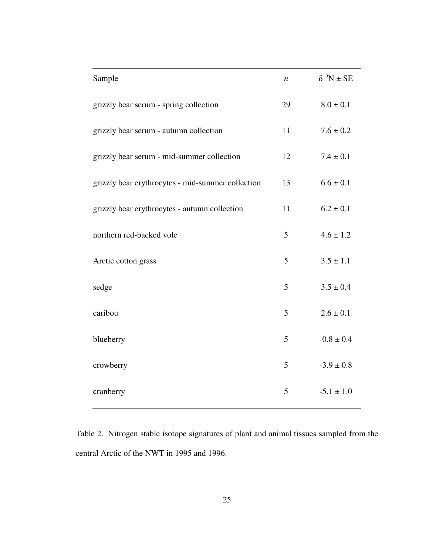| Sample                                            | $\boldsymbol{n}$ | $\delta^{15}N \pm SE$ |
|---------------------------------------------------|------------------|-----------------------|
| grizzly bear serum - spring collection            | 29               | $8.0 \pm 0.1$         |
| grizzly bear serum - autumn collection            | 11               | $7.6 \pm 0.2$         |
| grizzly bear serum - mid-summer collection        | 12               | $7.4 \pm 0.1$         |
| grizzly bear erythrocytes - mid-summer collection | 13               | $6.6 \pm 0.1$         |
| grizzly bear erythrocytes - autumn collection     | 11               | $6.2 \pm 0.1$         |
| northern red-backed vole                          | 5                | $4.6 \pm 1.2$         |
| Arctic cotton grass                               | 5                | $3.5 \pm 1.1$         |
| sedge                                             | 5                | $3.5 \pm 0.4$         |
| caribou                                           | 5                | $2.6 \pm 0.1$         |
| blueberry                                         | 5                | $-0.8 \pm 0.4$        |
| crowberry                                         | 5                | $-3.9 \pm 0.8$        |
| cranberry                                         | 5                | $-5.1 \pm 1.0$        |

Table 2. Nitrogen stable isotope signatures of plant and animal tissues sampled from the central Arctic of the NWT in 1995 and 1996.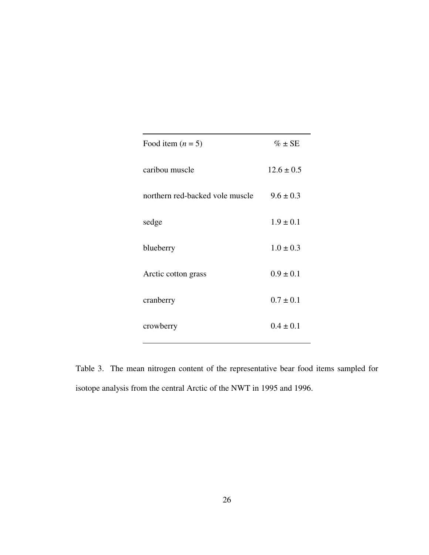| Food item $(n = 5)$             | $\% \pm SE$    |
|---------------------------------|----------------|
| caribou muscle                  | $12.6 \pm 0.5$ |
| northern red-backed vole muscle | $9.6 \pm 0.3$  |
| sedge                           | $1.9 \pm 0.1$  |
| blueberry                       | $1.0 \pm 0.3$  |
| Arctic cotton grass             | $0.9 \pm 0.1$  |
| cranberry                       | $0.7 \pm 0.1$  |
| crowberry                       | $0.4 \pm 0.1$  |

Table 3. The mean nitrogen content of the representative bear food items sampled for isotope analysis from the central Arctic of the NWT in 1995 and 1996.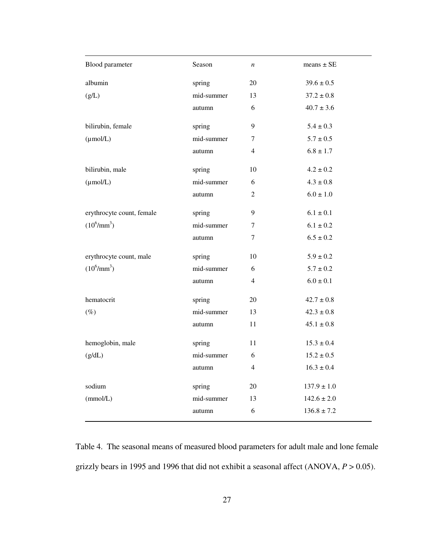| Blood parameter           | Season     | $\boldsymbol{n}$ | means $\pm$ SE  |
|---------------------------|------------|------------------|-----------------|
| albumin                   | spring     | 20               | $39.6 \pm 0.5$  |
| (g/L)                     | mid-summer | 13               | $37.2 \pm 0.8$  |
|                           | autumn     | 6                | $40.7 \pm 3.6$  |
| bilirubin, female         | spring     | 9                | $5.4 \pm 0.3$   |
| $(\mu \text{mol/L})$      | mid-summer | 7                | $5.7 \pm 0.5$   |
|                           | autumn     | 4                | $6.8 \pm 1.7$   |
| bilirubin, male           | spring     | 10               | $4.2 \pm 0.2$   |
| $(\mu$ mol/L)             | mid-summer | 6                | $4.3 \pm 0.8$   |
|                           | autumn     | 2                | $6.0 \pm 1.0$   |
| erythrocyte count, female | spring     | 9                | $6.1 \pm 0.1$   |
| $(10^6/\text{mm}^3)$      | mid-summer | 7                | $6.1 \pm 0.2$   |
|                           | autumn     | 7                | $6.5 \pm 0.2$   |
| erythrocyte count, male   | spring     | 10               | $5.9 \pm 0.2$   |
| $(10^6/\text{mm}^3)$      | mid-summer | 6                | $5.7 \pm 0.2$   |
|                           | autumn     | 4                | $6.0 \pm 0.1$   |
| hematocrit                | spring     | 20               | $42.7 \pm 0.8$  |
| $(\%)$                    | mid-summer | 13               | $42.3 \pm 0.8$  |
|                           | autumn     | 11               | $45.1 \pm 0.8$  |
| hemoglobin, male          | spring     | 11               | $15.3 \pm 0.4$  |
| (g/dL)                    | mid-summer | 6                | $15.2 \pm 0.5$  |
|                           | autumn     | 4                | $16.3\pm0.4$    |
| sodium                    | spring     | $20\,$           | $137.9 \pm 1.0$ |
| (mmol/L)                  | mid-summer | 13               | $142.6 \pm 2.0$ |
|                           | autumn     | 6                | $136.8 \pm 7.2$ |
|                           |            |                  |                 |

Table 4. The seasonal means of measured blood parameters for adult male and lone female grizzly bears in 1995 and 1996 that did not exhibit a seasonal affect (ANOVA, *P* > 0.05).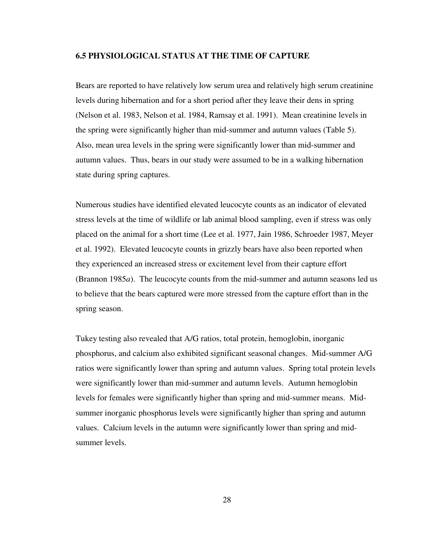# **6.5 PHYSIOLOGICAL STATUS AT THE TIME OF CAPTURE**

Bears are reported to have relatively low serum urea and relatively high serum creatinine levels during hibernation and for a short period after they leave their dens in spring (Nelson et al. 1983, Nelson et al. 1984, Ramsay et al. 1991). Mean creatinine levels in the spring were significantly higher than mid-summer and autumn values (Table 5). Also, mean urea levels in the spring were significantly lower than mid-summer and autumn values. Thus, bears in our study were assumed to be in a walking hibernation state during spring captures.

Numerous studies have identified elevated leucocyte counts as an indicator of elevated stress levels at the time of wildlife or lab animal blood sampling, even if stress was only placed on the animal for a short time (Lee et al. 1977, Jain 1986, Schroeder 1987, Meyer et al. 1992). Elevated leucocyte counts in grizzly bears have also been reported when they experienced an increased stress or excitement level from their capture effort (Brannon 1985*a*). The leucocyte counts from the mid-summer and autumn seasons led us to believe that the bears captured were more stressed from the capture effort than in the spring season.

Tukey testing also revealed that A/G ratios, total protein, hemoglobin, inorganic phosphorus, and calcium also exhibited significant seasonal changes. Mid-summer A/G ratios were significantly lower than spring and autumn values. Spring total protein levels were significantly lower than mid-summer and autumn levels. Autumn hemoglobin levels for females were significantly higher than spring and mid-summer means. Midsummer inorganic phosphorus levels were significantly higher than spring and autumn values. Calcium levels in the autumn were significantly lower than spring and midsummer levels.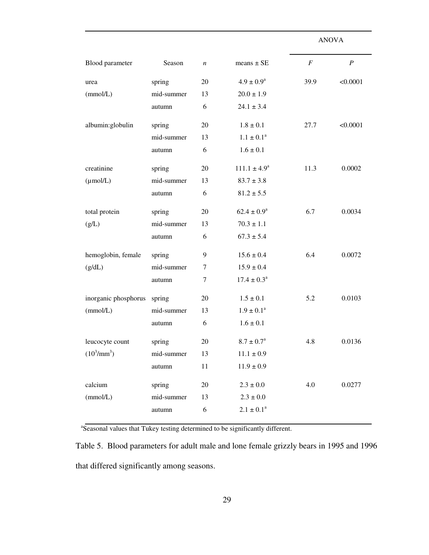|                      |            |                  |                       | <b>ANOVA</b>     |                  |
|----------------------|------------|------------------|-----------------------|------------------|------------------|
| Blood parameter      | Season     | $\boldsymbol{n}$ | means $\pm$ SE        | $\boldsymbol{F}$ | $\boldsymbol{P}$ |
| urea                 | spring     | 20               | $4.9 \pm 0.9^{\rm a}$ | 39.9             | < 0.0001         |
| (mmol/L)             | mid-summer | 13               | $20.0 \pm 1.9$        |                  |                  |
|                      | autumn     | 6                | $24.1 \pm 3.4$        |                  |                  |
| albumin: globulin    | spring     | 20               | $1.8 \pm 0.1$         | 27.7             | < 0.0001         |
|                      | mid-summer | 13               | $1.1 \pm 0.1^a$       |                  |                  |
|                      | autumn     | 6                | $1.6 \pm 0.1$         |                  |                  |
| creatinine           | spring     | 20               | $111.1 \pm 4.9^a$     | 11.3             | 0.0002           |
| $(\mu \text{mol/L})$ | mid-summer | 13               | $83.7 \pm 3.8$        |                  |                  |
|                      | autumn     | 6                | $81.2 \pm 5.5$        |                  |                  |
| total protein        | spring     | 20               | $62.4 \pm 0.9^a$      | 6.7              | 0.0034           |
| (g/L)                | mid-summer | 13               | $70.3 \pm 1.1$        |                  |                  |
|                      | autumn     | 6                | $67.3 \pm 5.4$        |                  |                  |
| hemoglobin, female   | spring     | 9                | $15.6 \pm 0.4$        | 6.4              | 0.0072           |
| (g/dL)               | mid-summer | 7                | $15.9 \pm 0.4$        |                  |                  |
|                      | autumn     | $\tau$           | $17.4 \pm 0.3^a$      |                  |                  |
| inorganic phosphorus | spring     | 20               | $1.5 \pm 0.1$         | 5.2              | 0.0103           |
| (mmol/L)             | mid-summer | 13               | $1.9\pm0.1^{\rm a}$   |                  |                  |
|                      | autumn     | 6                | $1.6 \pm 0.1$         |                  |                  |
| leucocyte count      | spring     | 20               | $8.7 \pm 0.7^{\circ}$ | 4.8              | 0.0136           |
| $(10^3/\text{mm}^3)$ | mid-summer | 13               | $11.1\pm0.9$          |                  |                  |
|                      | autumn     | $11\,$           | $11.9 \pm 0.9$        |                  |                  |
| calcium              | spring     | $20\,$           | $2.3 \pm 0.0$         | 4.0              | 0.0277           |
| (mmol/L)             | mid-summer | 13               | $2.3 \pm 0.0$         |                  |                  |
|                      | autumn     | 6                | $2.1 \pm 0.1^a$       |                  |                  |

<sup>a</sup>Seasonal values that Tukey testing determined to be significantly different.

Table 5. Blood parameters for adult male and lone female grizzly bears in 1995 and 1996 that differed significantly among seasons.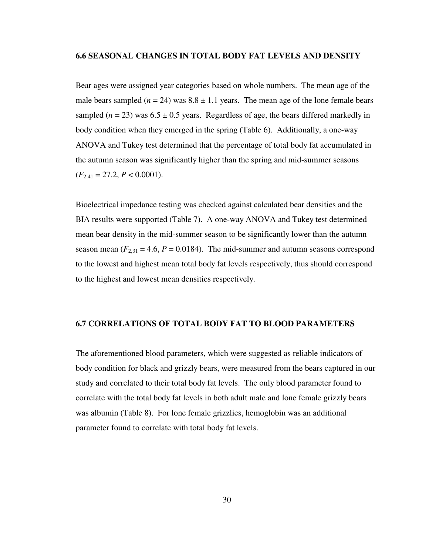#### **6.6 SEASONAL CHANGES IN TOTAL BODY FAT LEVELS AND DENSITY**

Bear ages were assigned year categories based on whole numbers. The mean age of the male bears sampled ( $n = 24$ ) was  $8.8 \pm 1.1$  years. The mean age of the lone female bears sampled  $(n = 23)$  was  $6.5 \pm 0.5$  years. Regardless of age, the bears differed markedly in body condition when they emerged in the spring (Table 6). Additionally, a one-way ANOVA and Tukey test determined that the percentage of total body fat accumulated in the autumn season was significantly higher than the spring and mid-summer seasons  $(F_{2,41} = 27.2, P < 0.0001).$ 

Bioelectrical impedance testing was checked against calculated bear densities and the BIA results were supported (Table 7). A one-way ANOVA and Tukey test determined mean bear density in the mid-summer season to be significantly lower than the autumn season mean  $(F_{2,31} = 4.6, P = 0.0184)$ . The mid-summer and autumn seasons correspond to the lowest and highest mean total body fat levels respectively, thus should correspond to the highest and lowest mean densities respectively.

### **6.7 CORRELATIONS OF TOTAL BODY FAT TO BLOOD PARAMETERS**

The aforementioned blood parameters, which were suggested as reliable indicators of body condition for black and grizzly bears, were measured from the bears captured in our study and correlated to their total body fat levels. The only blood parameter found to correlate with the total body fat levels in both adult male and lone female grizzly bears was albumin (Table 8). For lone female grizzlies, hemoglobin was an additional parameter found to correlate with total body fat levels.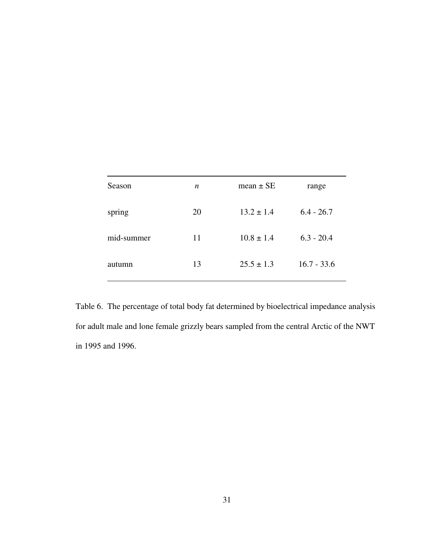| Season     | n  | mean $\pm$ SE  | range         |
|------------|----|----------------|---------------|
| spring     | 20 | $13.2 \pm 1.4$ | $6.4 - 26.7$  |
| mid-summer | 11 | $10.8 \pm 1.4$ | $6.3 - 20.4$  |
| autumn     | 13 | $25.5 \pm 1.3$ | $16.7 - 33.6$ |

Table 6. The percentage of total body fat determined by bioelectrical impedance analysis for adult male and lone female grizzly bears sampled from the central Arctic of the NWT in 1995 and 1996.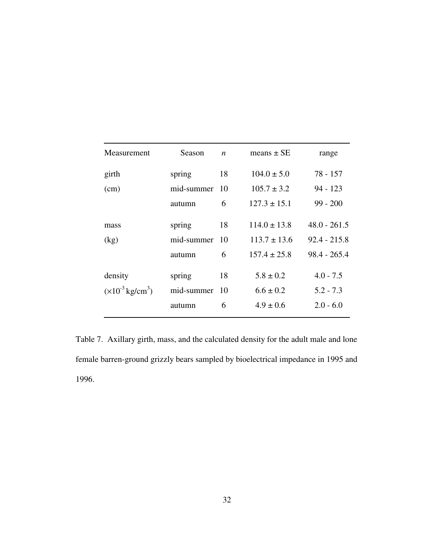| Measurement                        | Season     | $\boldsymbol{n}$ | means $\pm$ SE   | range          |
|------------------------------------|------------|------------------|------------------|----------------|
| girth                              | spring     | 18               | $104.0 \pm 5.0$  | $78 - 157$     |
| (cm)                               | mid-summer |                  | $105.7 \pm 3.2$  | $94 - 123$     |
|                                    | autumn     | 6                | $127.3 \pm 15.1$ | $99 - 200$     |
| mass                               | spring     | 18               | $114.0 \pm 13.8$ | $48.0 - 261.5$ |
| (kg)                               | mid-summer | -10              | $113.7 \pm 13.6$ | $92.4 - 215.8$ |
|                                    | autumn     | 6                | $157.4 \pm 25.8$ | $98.4 - 265.4$ |
| density                            | spring     | 18               | $5.8 \pm 0.2$    | $4.0 - 7.5$    |
| $(\times 10^{-3} \text{ kg/cm}^3)$ | mid-summer | -10              | $6.6 \pm 0.2$    | $5.2 - 7.3$    |
|                                    | autumn     | 6                | $4.9 \pm 0.6$    | $2.0 - 6.0$    |

Table 7. Axillary girth, mass, and the calculated density for the adult male and lone female barren-ground grizzly bears sampled by bioelectrical impedance in 1995 and 1996.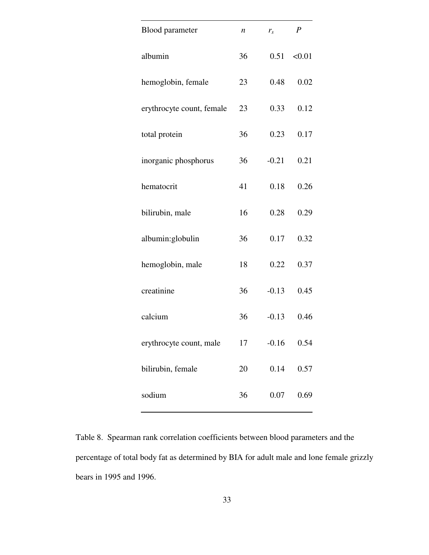| <b>Blood parameter</b>    | n  | $r_{s}$ | $\boldsymbol{P}$ |
|---------------------------|----|---------|------------------|
| albumin                   | 36 | 0.51    | < 0.01           |
| hemoglobin, female        | 23 | 0.48    | 0.02             |
| erythrocyte count, female | 23 | 0.33    | 0.12             |
| total protein             | 36 | 0.23    | 0.17             |
| inorganic phosphorus      | 36 | $-0.21$ | 0.21             |
| hematocrit                | 41 | 0.18    | 0.26             |
| bilirubin, male           | 16 | 0.28    | 0.29             |
| albumin:globulin          | 36 | 0.17    | 0.32             |
| hemoglobin, male          | 18 | 0.22    | 0.37             |
| creatinine                | 36 | $-0.13$ | 0.45             |
| calcium                   | 36 | $-0.13$ | 0.46             |
| erythrocyte count, male   | 17 | $-0.16$ | 0.54             |
| bilirubin, female         | 20 | 0.14    | 0.57             |
| sodium                    | 36 | 0.07    | 0.69             |

Table 8. Spearman rank correlation coefficients between blood parameters and the percentage of total body fat as determined by BIA for adult male and lone female grizzly bears in 1995 and 1996.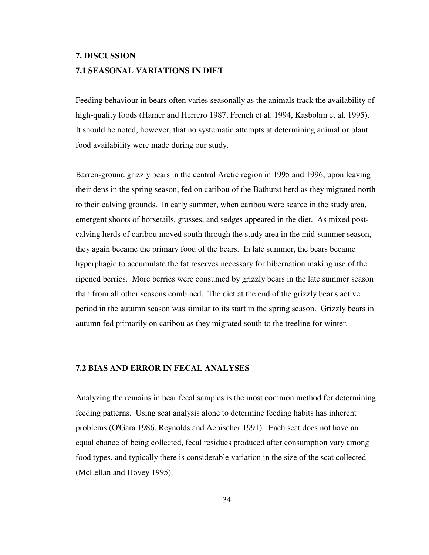# **7. DISCUSSION 7.1 SEASONAL VARIATIONS IN DIET**

Feeding behaviour in bears often varies seasonally as the animals track the availability of high-quality foods (Hamer and Herrero 1987, French et al. 1994, Kasbohm et al. 1995). It should be noted, however, that no systematic attempts at determining animal or plant food availability were made during our study.

Barren-ground grizzly bears in the central Arctic region in 1995 and 1996, upon leaving their dens in the spring season, fed on caribou of the Bathurst herd as they migrated north to their calving grounds. In early summer, when caribou were scarce in the study area, emergent shoots of horsetails, grasses, and sedges appeared in the diet. As mixed postcalving herds of caribou moved south through the study area in the mid-summer season, they again became the primary food of the bears. In late summer, the bears became hyperphagic to accumulate the fat reserves necessary for hibernation making use of the ripened berries. More berries were consumed by grizzly bears in the late summer season than from all other seasons combined. The diet at the end of the grizzly bear's active period in the autumn season was similar to its start in the spring season. Grizzly bears in autumn fed primarily on caribou as they migrated south to the treeline for winter.

### **7.2 BIAS AND ERROR IN FECAL ANALYSES**

Analyzing the remains in bear fecal samples is the most common method for determining feeding patterns. Using scat analysis alone to determine feeding habits has inherent problems (O'Gara 1986, Reynolds and Aebischer 1991). Each scat does not have an equal chance of being collected, fecal residues produced after consumption vary among food types, and typically there is considerable variation in the size of the scat collected (McLellan and Hovey 1995).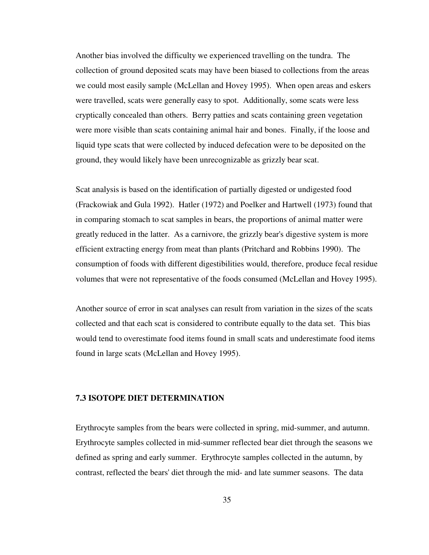Another bias involved the difficulty we experienced travelling on the tundra. The collection of ground deposited scats may have been biased to collections from the areas we could most easily sample (McLellan and Hovey 1995). When open areas and eskers were travelled, scats were generally easy to spot. Additionally, some scats were less cryptically concealed than others. Berry patties and scats containing green vegetation were more visible than scats containing animal hair and bones. Finally, if the loose and liquid type scats that were collected by induced defecation were to be deposited on the ground, they would likely have been unrecognizable as grizzly bear scat.

Scat analysis is based on the identification of partially digested or undigested food (Frackowiak and Gula 1992). Hatler (1972) and Poelker and Hartwell (1973) found that in comparing stomach to scat samples in bears, the proportions of animal matter were greatly reduced in the latter. As a carnivore, the grizzly bear's digestive system is more efficient extracting energy from meat than plants (Pritchard and Robbins 1990). The consumption of foods with different digestibilities would, therefore, produce fecal residue volumes that were not representative of the foods consumed (McLellan and Hovey 1995).

Another source of error in scat analyses can result from variation in the sizes of the scats collected and that each scat is considered to contribute equally to the data set. This bias would tend to overestimate food items found in small scats and underestimate food items found in large scats (McLellan and Hovey 1995).

#### **7.3 ISOTOPE DIET DETERMINATION**

Erythrocyte samples from the bears were collected in spring, mid-summer, and autumn. Erythrocyte samples collected in mid-summer reflected bear diet through the seasons we defined as spring and early summer. Erythrocyte samples collected in the autumn, by contrast, reflected the bears' diet through the mid- and late summer seasons. The data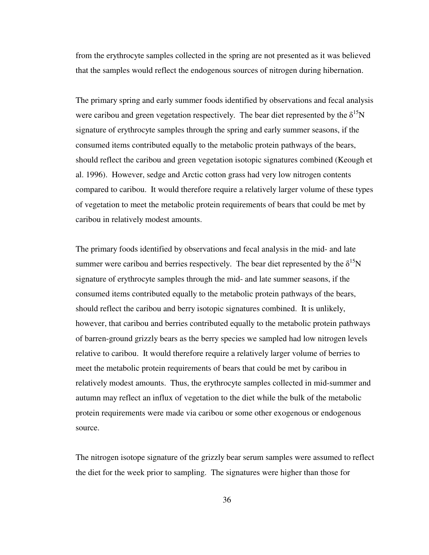from the erythrocyte samples collected in the spring are not presented as it was believed that the samples would reflect the endogenous sources of nitrogen during hibernation.

The primary spring and early summer foods identified by observations and fecal analysis were caribou and green vegetation respectively. The bear diet represented by the  $\delta^{15}N$ signature of erythrocyte samples through the spring and early summer seasons, if the consumed items contributed equally to the metabolic protein pathways of the bears, should reflect the caribou and green vegetation isotopic signatures combined (Keough et al. 1996). However, sedge and Arctic cotton grass had very low nitrogen contents compared to caribou. It would therefore require a relatively larger volume of these types of vegetation to meet the metabolic protein requirements of bears that could be met by caribou in relatively modest amounts.

The primary foods identified by observations and fecal analysis in the mid- and late summer were caribou and berries respectively. The bear diet represented by the  $\delta^{15}N$ signature of erythrocyte samples through the mid- and late summer seasons, if the consumed items contributed equally to the metabolic protein pathways of the bears, should reflect the caribou and berry isotopic signatures combined. It is unlikely, however, that caribou and berries contributed equally to the metabolic protein pathways of barren-ground grizzly bears as the berry species we sampled had low nitrogen levels relative to caribou. It would therefore require a relatively larger volume of berries to meet the metabolic protein requirements of bears that could be met by caribou in relatively modest amounts. Thus, the erythrocyte samples collected in mid-summer and autumn may reflect an influx of vegetation to the diet while the bulk of the metabolic protein requirements were made via caribou or some other exogenous or endogenous source.

The nitrogen isotope signature of the grizzly bear serum samples were assumed to reflect the diet for the week prior to sampling. The signatures were higher than those for

36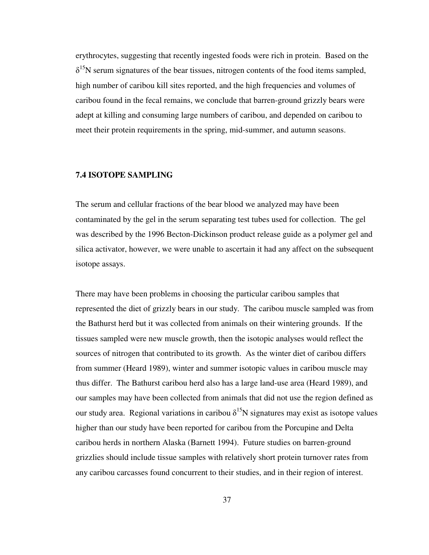erythrocytes, suggesting that recently ingested foods were rich in protein. Based on the  $\delta^{15}$ N serum signatures of the bear tissues, nitrogen contents of the food items sampled, high number of caribou kill sites reported, and the high frequencies and volumes of caribou found in the fecal remains, we conclude that barren-ground grizzly bears were adept at killing and consuming large numbers of caribou, and depended on caribou to meet their protein requirements in the spring, mid-summer, and autumn seasons.

# **7.4 ISOTOPE SAMPLING**

The serum and cellular fractions of the bear blood we analyzed may have been contaminated by the gel in the serum separating test tubes used for collection. The gel was described by the 1996 Becton-Dickinson product release guide as a polymer gel and silica activator, however, we were unable to ascertain it had any affect on the subsequent isotope assays.

There may have been problems in choosing the particular caribou samples that represented the diet of grizzly bears in our study. The caribou muscle sampled was from the Bathurst herd but it was collected from animals on their wintering grounds. If the tissues sampled were new muscle growth, then the isotopic analyses would reflect the sources of nitrogen that contributed to its growth. As the winter diet of caribou differs from summer (Heard 1989), winter and summer isotopic values in caribou muscle may thus differ. The Bathurst caribou herd also has a large land-use area (Heard 1989), and our samples may have been collected from animals that did not use the region defined as our study area. Regional variations in caribou  $\delta^{15}N$  signatures may exist as isotope values higher than our study have been reported for caribou from the Porcupine and Delta caribou herds in northern Alaska (Barnett 1994). Future studies on barren-ground grizzlies should include tissue samples with relatively short protein turnover rates from any caribou carcasses found concurrent to their studies, and in their region of interest.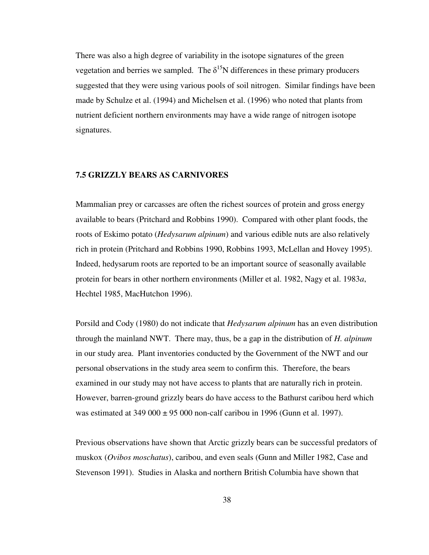There was also a high degree of variability in the isotope signatures of the green vegetation and berries we sampled. The  $\delta^{15}N$  differences in these primary producers suggested that they were using various pools of soil nitrogen. Similar findings have been made by Schulze et al. (1994) and Michelsen et al. (1996) who noted that plants from nutrient deficient northern environments may have a wide range of nitrogen isotope signatures.

# **7.5 GRIZZLY BEARS AS CARNIVORES**

Mammalian prey or carcasses are often the richest sources of protein and gross energy available to bears (Pritchard and Robbins 1990). Compared with other plant foods, the roots of Eskimo potato (*Hedysarum alpinum*) and various edible nuts are also relatively rich in protein (Pritchard and Robbins 1990, Robbins 1993, McLellan and Hovey 1995). Indeed, hedysarum roots are reported to be an important source of seasonally available protein for bears in other northern environments (Miller et al. 1982, Nagy et al. 1983*a*, Hechtel 1985, MacHutchon 1996).

Porsild and Cody (1980) do not indicate that *Hedysarum alpinum* has an even distribution through the mainland NWT. There may, thus, be a gap in the distribution of *H. alpinum* in our study area. Plant inventories conducted by the Government of the NWT and our personal observations in the study area seem to confirm this. Therefore, the bears examined in our study may not have access to plants that are naturally rich in protein. However, barren-ground grizzly bears do have access to the Bathurst caribou herd which was estimated at  $349\,000 \pm 95\,000$  non-calf caribou in 1996 (Gunn et al. 1997).

Previous observations have shown that Arctic grizzly bears can be successful predators of muskox (*Ovibos moschatus*), caribou, and even seals (Gunn and Miller 1982, Case and Stevenson 1991). Studies in Alaska and northern British Columbia have shown that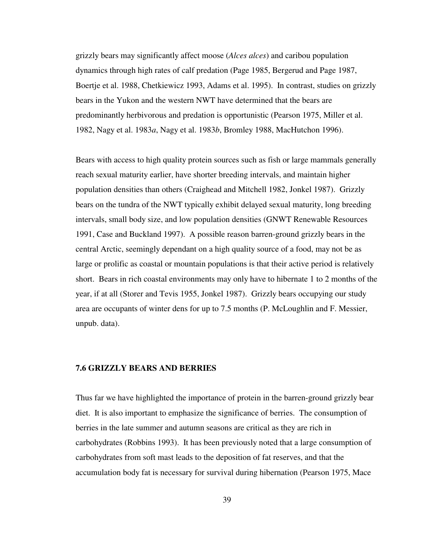grizzly bears may significantly affect moose (*Alces alces*) and caribou population dynamics through high rates of calf predation (Page 1985, Bergerud and Page 1987, Boertje et al. 1988, Chetkiewicz 1993, Adams et al. 1995). In contrast, studies on grizzly bears in the Yukon and the western NWT have determined that the bears are predominantly herbivorous and predation is opportunistic (Pearson 1975, Miller et al. 1982, Nagy et al. 1983*a*, Nagy et al. 1983*b*, Bromley 1988, MacHutchon 1996).

Bears with access to high quality protein sources such as fish or large mammals generally reach sexual maturity earlier, have shorter breeding intervals, and maintain higher population densities than others (Craighead and Mitchell 1982, Jonkel 1987). Grizzly bears on the tundra of the NWT typically exhibit delayed sexual maturity, long breeding intervals, small body size, and low population densities (GNWT Renewable Resources 1991, Case and Buckland 1997). A possible reason barren-ground grizzly bears in the central Arctic, seemingly dependant on a high quality source of a food, may not be as large or prolific as coastal or mountain populations is that their active period is relatively short. Bears in rich coastal environments may only have to hibernate 1 to 2 months of the year, if at all (Storer and Tevis 1955, Jonkel 1987). Grizzly bears occupying our study area are occupants of winter dens for up to 7.5 months (P. McLoughlin and F. Messier, unpub. data).

#### **7.6 GRIZZLY BEARS AND BERRIES**

Thus far we have highlighted the importance of protein in the barren-ground grizzly bear diet. It is also important to emphasize the significance of berries. The consumption of berries in the late summer and autumn seasons are critical as they are rich in carbohydrates (Robbins 1993). It has been previously noted that a large consumption of carbohydrates from soft mast leads to the deposition of fat reserves, and that the accumulation body fat is necessary for survival during hibernation (Pearson 1975, Mace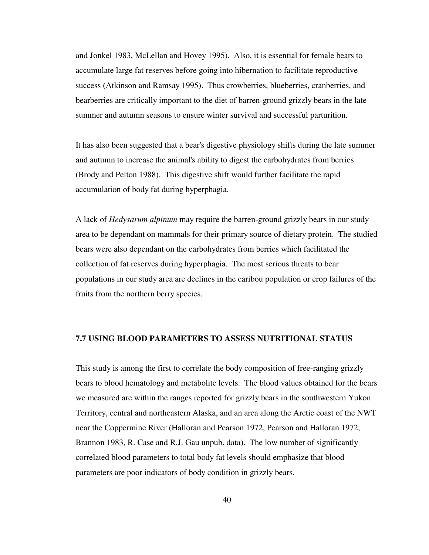and Jonkel 1983, McLellan and Hovey 1995). Also, it is essential for female bears to accumulate large fat reserves before going into hibernation to facilitate reproductive success (Atkinson and Ramsay 1995). Thus crowberries, blueberries, cranberries, and bearberries are critically important to the diet of barren-ground grizzly bears in the late summer and autumn seasons to ensure winter survival and successful parturition.

It has also been suggested that a bear's digestive physiology shifts during the late summer and autumn to increase the animal's ability to digest the carbohydrates from berries (Brody and Pelton 1988). This digestive shift would further facilitate the rapid accumulation of body fat during hyperphagia.

A lack of *Hedysarum alpinum* may require the barren-ground grizzly bears in our study area to be dependant on mammals for their primary source of dietary protein. The studied bears were also dependant on the carbohydrates from berries which facilitated the collection of fat reserves during hyperphagia. The most serious threats to bear populations in our study area are declines in the caribou population or crop failures of the fruits from the northern berry species.

#### **7.7 USING BLOOD PARAMETERS TO ASSESS NUTRITIONAL STATUS**

This study is among the first to correlate the body composition of free-ranging grizzly bears to blood hematology and metabolite levels. The blood values obtained for the bears we measured are within the ranges reported for grizzly bears in the southwestern Yukon Territory, central and northeastern Alaska, and an area along the Arctic coast of the NWT near the Coppermine River (Halloran and Pearson 1972, Pearson and Halloran 1972, Brannon 1983, R. Case and R.J. Gau unpub. data). The low number of significantly correlated blood parameters to total body fat levels should emphasize that blood parameters are poor indicators of body condition in grizzly bears.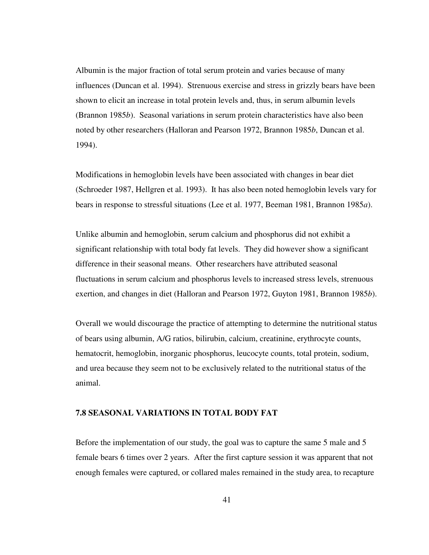Albumin is the major fraction of total serum protein and varies because of many influences (Duncan et al. 1994). Strenuous exercise and stress in grizzly bears have been shown to elicit an increase in total protein levels and, thus, in serum albumin levels (Brannon 1985*b*). Seasonal variations in serum protein characteristics have also been noted by other researchers (Halloran and Pearson 1972, Brannon 1985*b*, Duncan et al. 1994).

Modifications in hemoglobin levels have been associated with changes in bear diet (Schroeder 1987, Hellgren et al. 1993). It has also been noted hemoglobin levels vary for bears in response to stressful situations (Lee et al. 1977, Beeman 1981, Brannon 1985*a*).

Unlike albumin and hemoglobin, serum calcium and phosphorus did not exhibit a significant relationship with total body fat levels. They did however show a significant difference in their seasonal means. Other researchers have attributed seasonal fluctuations in serum calcium and phosphorus levels to increased stress levels, strenuous exertion, and changes in diet (Halloran and Pearson 1972, Guyton 1981, Brannon 1985*b*).

Overall we would discourage the practice of attempting to determine the nutritional status of bears using albumin, A/G ratios, bilirubin, calcium, creatinine, erythrocyte counts, hematocrit, hemoglobin, inorganic phosphorus, leucocyte counts, total protein, sodium, and urea because they seem not to be exclusively related to the nutritional status of the animal.

#### **7.8 SEASONAL VARIATIONS IN TOTAL BODY FAT**

Before the implementation of our study, the goal was to capture the same 5 male and 5 female bears 6 times over 2 years. After the first capture session it was apparent that not enough females were captured, or collared males remained in the study area, to recapture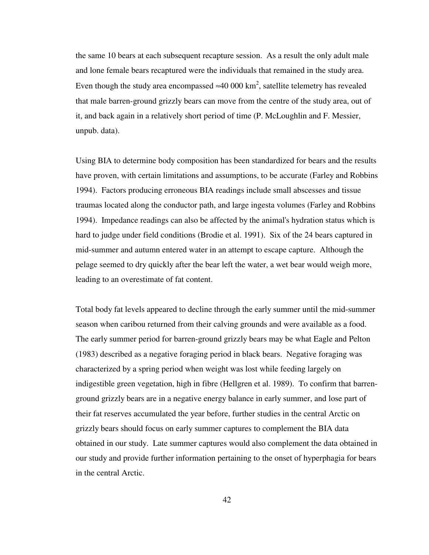the same 10 bears at each subsequent recapture session. As a result the only adult male and lone female bears recaptured were the individuals that remained in the study area. Even though the study area encompassed ≈40 000 km<sup>2</sup>, satellite telemetry has revealed that male barren-ground grizzly bears can move from the centre of the study area, out of it, and back again in a relatively short period of time (P. McLoughlin and F. Messier, unpub. data).

Using BIA to determine body composition has been standardized for bears and the results have proven, with certain limitations and assumptions, to be accurate (Farley and Robbins 1994). Factors producing erroneous BIA readings include small abscesses and tissue traumas located along the conductor path, and large ingesta volumes (Farley and Robbins 1994). Impedance readings can also be affected by the animal's hydration status which is hard to judge under field conditions (Brodie et al. 1991). Six of the 24 bears captured in mid-summer and autumn entered water in an attempt to escape capture. Although the pelage seemed to dry quickly after the bear left the water, a wet bear would weigh more, leading to an overestimate of fat content.

Total body fat levels appeared to decline through the early summer until the mid-summer season when caribou returned from their calving grounds and were available as a food. The early summer period for barren-ground grizzly bears may be what Eagle and Pelton (1983) described as a negative foraging period in black bears. Negative foraging was characterized by a spring period when weight was lost while feeding largely on indigestible green vegetation, high in fibre (Hellgren et al. 1989). To confirm that barrenground grizzly bears are in a negative energy balance in early summer, and lose part of their fat reserves accumulated the year before, further studies in the central Arctic on grizzly bears should focus on early summer captures to complement the BIA data obtained in our study. Late summer captures would also complement the data obtained in our study and provide further information pertaining to the onset of hyperphagia for bears in the central Arctic.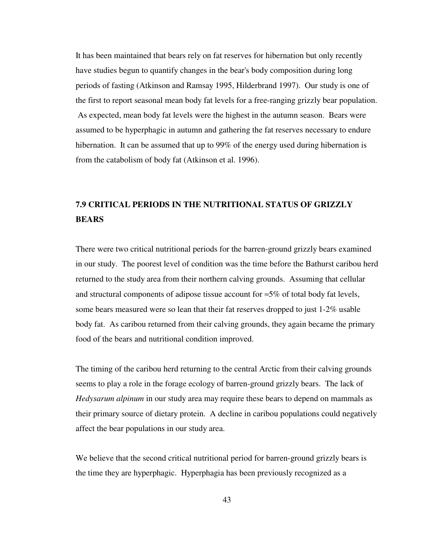It has been maintained that bears rely on fat reserves for hibernation but only recently have studies begun to quantify changes in the bear's body composition during long periods of fasting (Atkinson and Ramsay 1995, Hilderbrand 1997). Our study is one of the first to report seasonal mean body fat levels for a free-ranging grizzly bear population. As expected, mean body fat levels were the highest in the autumn season. Bears were assumed to be hyperphagic in autumn and gathering the fat reserves necessary to endure hibernation. It can be assumed that up to 99% of the energy used during hibernation is from the catabolism of body fat (Atkinson et al. 1996).

# **7.9 CRITICAL PERIODS IN THE NUTRITIONAL STATUS OF GRIZZLY BEARS**

There were two critical nutritional periods for the barren-ground grizzly bears examined in our study. The poorest level of condition was the time before the Bathurst caribou herd returned to the study area from their northern calving grounds. Assuming that cellular and structural components of adipose tissue account for  $\approx 5\%$  of total body fat levels, some bears measured were so lean that their fat reserves dropped to just 1-2% usable body fat. As caribou returned from their calving grounds, they again became the primary food of the bears and nutritional condition improved.

The timing of the caribou herd returning to the central Arctic from their calving grounds seems to play a role in the forage ecology of barren-ground grizzly bears. The lack of *Hedysarum alpinum* in our study area may require these bears to depend on mammals as their primary source of dietary protein. A decline in caribou populations could negatively affect the bear populations in our study area.

We believe that the second critical nutritional period for barren-ground grizzly bears is the time they are hyperphagic. Hyperphagia has been previously recognized as a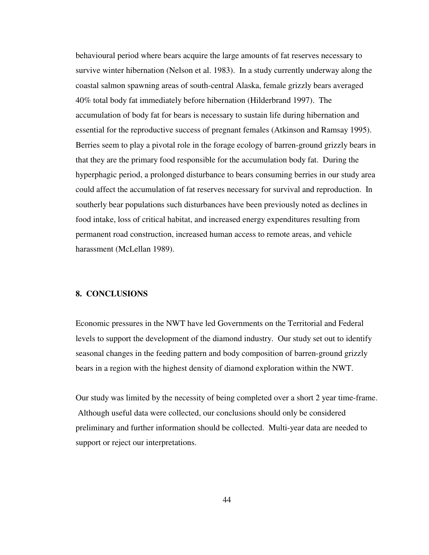behavioural period where bears acquire the large amounts of fat reserves necessary to survive winter hibernation (Nelson et al. 1983). In a study currently underway along the coastal salmon spawning areas of south-central Alaska, female grizzly bears averaged 40% total body fat immediately before hibernation (Hilderbrand 1997). The accumulation of body fat for bears is necessary to sustain life during hibernation and essential for the reproductive success of pregnant females (Atkinson and Ramsay 1995). Berries seem to play a pivotal role in the forage ecology of barren-ground grizzly bears in that they are the primary food responsible for the accumulation body fat. During the hyperphagic period, a prolonged disturbance to bears consuming berries in our study area could affect the accumulation of fat reserves necessary for survival and reproduction. In southerly bear populations such disturbances have been previously noted as declines in food intake, loss of critical habitat, and increased energy expenditures resulting from permanent road construction, increased human access to remote areas, and vehicle harassment (McLellan 1989).

## **8. CONCLUSIONS**

Economic pressures in the NWT have led Governments on the Territorial and Federal levels to support the development of the diamond industry. Our study set out to identify seasonal changes in the feeding pattern and body composition of barren-ground grizzly bears in a region with the highest density of diamond exploration within the NWT.

Our study was limited by the necessity of being completed over a short 2 year time-frame. Although useful data were collected, our conclusions should only be considered preliminary and further information should be collected. Multi-year data are needed to support or reject our interpretations.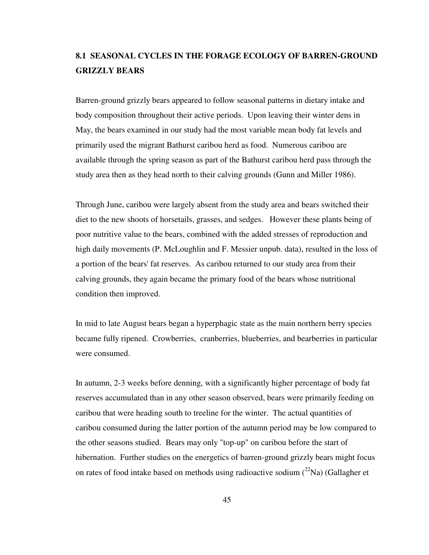# **8.1 SEASONAL CYCLES IN THE FORAGE ECOLOGY OF BARREN-GROUND GRIZZLY BEARS**

Barren-ground grizzly bears appeared to follow seasonal patterns in dietary intake and body composition throughout their active periods. Upon leaving their winter dens in May, the bears examined in our study had the most variable mean body fat levels and primarily used the migrant Bathurst caribou herd as food. Numerous caribou are available through the spring season as part of the Bathurst caribou herd pass through the study area then as they head north to their calving grounds (Gunn and Miller 1986).

Through June, caribou were largely absent from the study area and bears switched their diet to the new shoots of horsetails, grasses, and sedges. However these plants being of poor nutritive value to the bears, combined with the added stresses of reproduction and high daily movements (P. McLoughlin and F. Messier unpub. data), resulted in the loss of a portion of the bears' fat reserves. As caribou returned to our study area from their calving grounds, they again became the primary food of the bears whose nutritional condition then improved.

In mid to late August bears began a hyperphagic state as the main northern berry species became fully ripened. Crowberries, cranberries, blueberries, and bearberries in particular were consumed.

In autumn, 2-3 weeks before denning, with a significantly higher percentage of body fat reserves accumulated than in any other season observed, bears were primarily feeding on caribou that were heading south to treeline for the winter. The actual quantities of caribou consumed during the latter portion of the autumn period may be low compared to the other seasons studied. Bears may only "top-up" on caribou before the start of hibernation. Further studies on the energetics of barren-ground grizzly bears might focus on rates of food intake based on methods using radioactive sodium  $(^{22}Na)$  (Gallagher et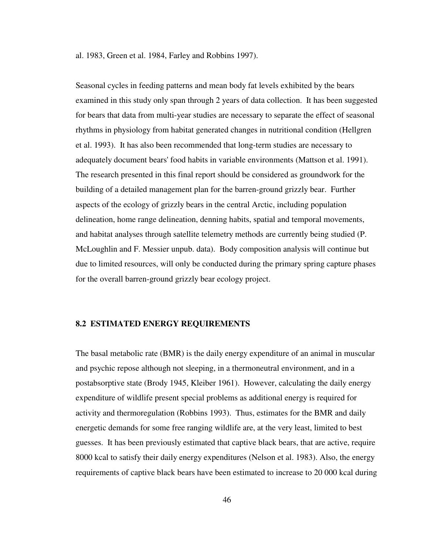al. 1983, Green et al. 1984, Farley and Robbins 1997).

Seasonal cycles in feeding patterns and mean body fat levels exhibited by the bears examined in this study only span through 2 years of data collection. It has been suggested for bears that data from multi-year studies are necessary to separate the effect of seasonal rhythms in physiology from habitat generated changes in nutritional condition (Hellgren et al. 1993). It has also been recommended that long-term studies are necessary to adequately document bears' food habits in variable environments (Mattson et al. 1991). The research presented in this final report should be considered as groundwork for the building of a detailed management plan for the barren-ground grizzly bear. Further aspects of the ecology of grizzly bears in the central Arctic, including population delineation, home range delineation, denning habits, spatial and temporal movements, and habitat analyses through satellite telemetry methods are currently being studied (P. McLoughlin and F. Messier unpub. data). Body composition analysis will continue but due to limited resources, will only be conducted during the primary spring capture phases for the overall barren-ground grizzly bear ecology project.

# **8.2 ESTIMATED ENERGY REQUIREMENTS**

The basal metabolic rate (BMR) is the daily energy expenditure of an animal in muscular and psychic repose although not sleeping, in a thermoneutral environment, and in a postabsorptive state (Brody 1945, Kleiber 1961). However, calculating the daily energy expenditure of wildlife present special problems as additional energy is required for activity and thermoregulation (Robbins 1993). Thus, estimates for the BMR and daily energetic demands for some free ranging wildlife are, at the very least, limited to best guesses. It has been previously estimated that captive black bears, that are active, require 8000 kcal to satisfy their daily energy expenditures (Nelson et al. 1983). Also, the energy requirements of captive black bears have been estimated to increase to 20 000 kcal during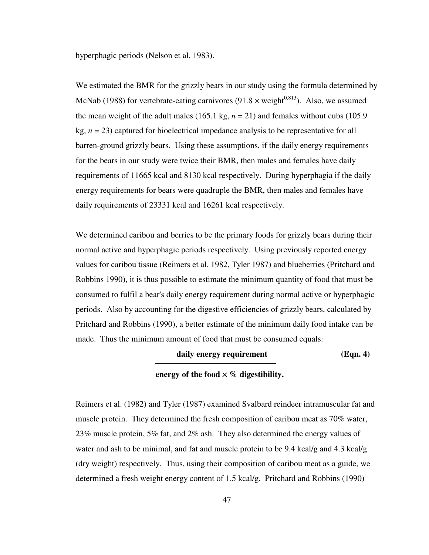hyperphagic periods (Nelson et al. 1983).

We estimated the BMR for the grizzly bears in our study using the formula determined by McNab (1988) for vertebrate-eating carnivores (91.8  $\times$  weight<sup>0.813</sup>). Also, we assumed the mean weight of the adult males (165.1 kg,  $n = 21$ ) and females without cubs (105.9) kg,  $n = 23$ ) captured for bioelectrical impedance analysis to be representative for all barren-ground grizzly bears. Using these assumptions, if the daily energy requirements for the bears in our study were twice their BMR, then males and females have daily requirements of 11665 kcal and 8130 kcal respectively. During hyperphagia if the daily energy requirements for bears were quadruple the BMR, then males and females have daily requirements of 23331 kcal and 16261 kcal respectively.

We determined caribou and berries to be the primary foods for grizzly bears during their normal active and hyperphagic periods respectively. Using previously reported energy values for caribou tissue (Reimers et al. 1982, Tyler 1987) and blueberries (Pritchard and Robbins 1990), it is thus possible to estimate the minimum quantity of food that must be consumed to fulfil a bear's daily energy requirement during normal active or hyperphagic periods. Also by accounting for the digestive efficiencies of grizzly bears, calculated by Pritchard and Robbins (1990), a better estimate of the minimum daily food intake can be made. Thus the minimum amount of food that must be consumed equals:

## daily energy requirement (Eqn. 4)

#### **energy of the food**  $\times$  **% digestibility.**

Reimers et al. (1982) and Tyler (1987) examined Svalbard reindeer intramuscular fat and muscle protein. They determined the fresh composition of caribou meat as 70% water, 23% muscle protein, 5% fat, and 2% ash. They also determined the energy values of water and ash to be minimal, and fat and muscle protein to be 9.4 kcal/g and 4.3 kcal/g (dry weight) respectively. Thus, using their composition of caribou meat as a guide, we determined a fresh weight energy content of 1.5 kcal/g. Pritchard and Robbins (1990)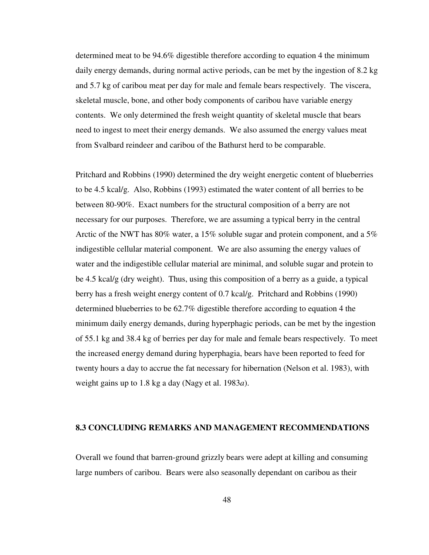determined meat to be 94.6% digestible therefore according to equation 4 the minimum daily energy demands, during normal active periods, can be met by the ingestion of 8.2 kg and 5.7 kg of caribou meat per day for male and female bears respectively. The viscera, skeletal muscle, bone, and other body components of caribou have variable energy contents. We only determined the fresh weight quantity of skeletal muscle that bears need to ingest to meet their energy demands. We also assumed the energy values meat from Svalbard reindeer and caribou of the Bathurst herd to be comparable.

Pritchard and Robbins (1990) determined the dry weight energetic content of blueberries to be 4.5 kcal/g. Also, Robbins (1993) estimated the water content of all berries to be between 80-90%. Exact numbers for the structural composition of a berry are not necessary for our purposes. Therefore, we are assuming a typical berry in the central Arctic of the NWT has 80% water, a 15% soluble sugar and protein component, and a 5% indigestible cellular material component. We are also assuming the energy values of water and the indigestible cellular material are minimal, and soluble sugar and protein to be 4.5 kcal/g (dry weight). Thus, using this composition of a berry as a guide, a typical berry has a fresh weight energy content of 0.7 kcal/g. Pritchard and Robbins (1990) determined blueberries to be 62.7% digestible therefore according to equation 4 the minimum daily energy demands, during hyperphagic periods, can be met by the ingestion of 55.1 kg and 38.4 kg of berries per day for male and female bears respectively. To meet the increased energy demand during hyperphagia, bears have been reported to feed for twenty hours a day to accrue the fat necessary for hibernation (Nelson et al. 1983), with weight gains up to 1.8 kg a day (Nagy et al. 1983*a*).

# **8.3 CONCLUDING REMARKS AND MANAGEMENT RECOMMENDATIONS**

Overall we found that barren-ground grizzly bears were adept at killing and consuming large numbers of caribou. Bears were also seasonally dependant on caribou as their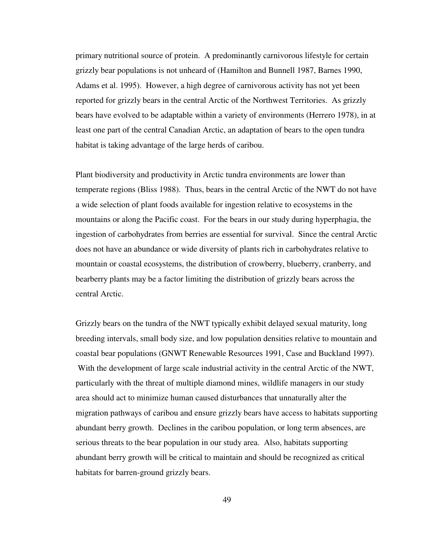primary nutritional source of protein. A predominantly carnivorous lifestyle for certain grizzly bear populations is not unheard of (Hamilton and Bunnell 1987, Barnes 1990, Adams et al. 1995). However, a high degree of carnivorous activity has not yet been reported for grizzly bears in the central Arctic of the Northwest Territories. As grizzly bears have evolved to be adaptable within a variety of environments (Herrero 1978), in at least one part of the central Canadian Arctic, an adaptation of bears to the open tundra habitat is taking advantage of the large herds of caribou.

Plant biodiversity and productivity in Arctic tundra environments are lower than temperate regions (Bliss 1988). Thus, bears in the central Arctic of the NWT do not have a wide selection of plant foods available for ingestion relative to ecosystems in the mountains or along the Pacific coast. For the bears in our study during hyperphagia, the ingestion of carbohydrates from berries are essential for survival. Since the central Arctic does not have an abundance or wide diversity of plants rich in carbohydrates relative to mountain or coastal ecosystems, the distribution of crowberry, blueberry, cranberry, and bearberry plants may be a factor limiting the distribution of grizzly bears across the central Arctic.

Grizzly bears on the tundra of the NWT typically exhibit delayed sexual maturity, long breeding intervals, small body size, and low population densities relative to mountain and coastal bear populations (GNWT Renewable Resources 1991, Case and Buckland 1997). With the development of large scale industrial activity in the central Arctic of the NWT, particularly with the threat of multiple diamond mines, wildlife managers in our study area should act to minimize human caused disturbances that unnaturally alter the migration pathways of caribou and ensure grizzly bears have access to habitats supporting abundant berry growth. Declines in the caribou population, or long term absences, are serious threats to the bear population in our study area. Also, habitats supporting abundant berry growth will be critical to maintain and should be recognized as critical habitats for barren-ground grizzly bears.

49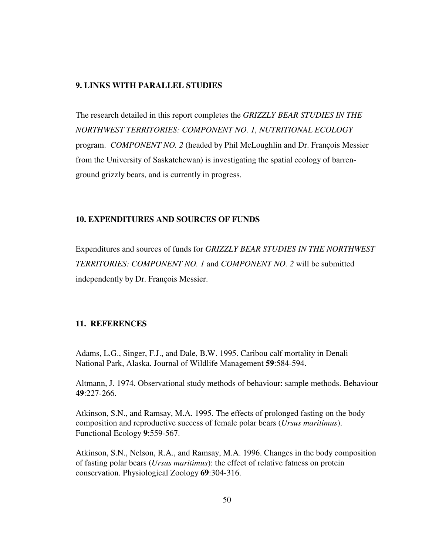### **9. LINKS WITH PARALLEL STUDIES**

The research detailed in this report completes the *GRIZZLY BEAR STUDIES IN THE NORTHWEST TERRITORIES: COMPONENT NO. 1, NUTRITIONAL ECOLOGY* program. *COMPONENT NO. 2* (headed by Phil McLoughlin and Dr. François Messier from the University of Saskatchewan) is investigating the spatial ecology of barrenground grizzly bears, and is currently in progress.

# **10. EXPENDITURES AND SOURCES OF FUNDS**

Expenditures and sources of funds for *GRIZZLY BEAR STUDIES IN THE NORTHWEST TERRITORIES: COMPONENT NO. 1* and *COMPONENT NO. 2* will be submitted independently by Dr. François Messier.

# **11. REFERENCES**

Adams, L.G., Singer, F.J., and Dale, B.W. 1995. Caribou calf mortality in Denali National Park, Alaska. Journal of Wildlife Management **59**:584-594.

Altmann, J. 1974. Observational study methods of behaviour: sample methods. Behaviour **49**:227-266.

Atkinson, S.N., and Ramsay, M.A. 1995. The effects of prolonged fasting on the body composition and reproductive success of female polar bears (*Ursus maritimus*). Functional Ecology **9**:559-567.

Atkinson, S.N., Nelson, R.A., and Ramsay, M.A. 1996. Changes in the body composition of fasting polar bears (*Ursus maritimus*): the effect of relative fatness on protein conservation. Physiological Zoology **69**:304-316.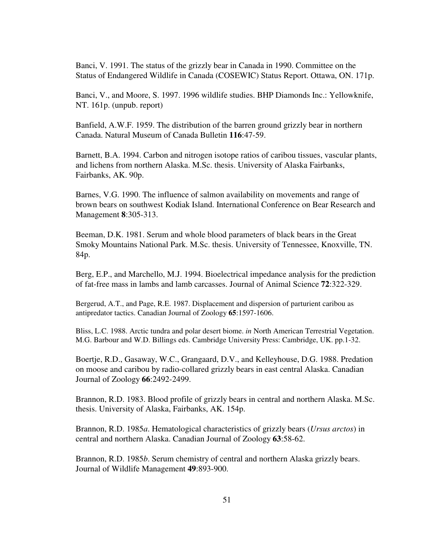Banci, V. 1991. The status of the grizzly bear in Canada in 1990. Committee on the Status of Endangered Wildlife in Canada (COSEWIC) Status Report. Ottawa, ON. 171p.

Banci, V., and Moore, S. 1997. 1996 wildlife studies. BHP Diamonds Inc.: Yellowknife, NT. 161p. (unpub. report)

Banfield, A.W.F. 1959. The distribution of the barren ground grizzly bear in northern Canada. Natural Museum of Canada Bulletin **116**:47-59.

Barnett, B.A. 1994. Carbon and nitrogen isotope ratios of caribou tissues, vascular plants, and lichens from northern Alaska. M.Sc. thesis. University of Alaska Fairbanks, Fairbanks, AK. 90p.

Barnes, V.G. 1990. The influence of salmon availability on movements and range of brown bears on southwest Kodiak Island. International Conference on Bear Research and Management **8**:305-313.

Beeman, D.K. 1981. Serum and whole blood parameters of black bears in the Great Smoky Mountains National Park. M.Sc. thesis. University of Tennessee, Knoxville, TN. 84p.

Berg, E.P., and Marchello, M.J. 1994. Bioelectrical impedance analysis for the prediction of fat-free mass in lambs and lamb carcasses. Journal of Animal Science **72**:322-329.

Bergerud, A.T., and Page, R.E. 1987. Displacement and dispersion of parturient caribou as antipredator tactics. Canadian Journal of Zoology **65**:1597-1606.

Bliss, L.C. 1988. Arctic tundra and polar desert biome. *in* North American Terrestrial Vegetation. M.G. Barbour and W.D. Billings eds. Cambridge University Press: Cambridge, UK. pp.1-32.

Boertje, R.D., Gasaway, W.C., Grangaard, D.V., and Kelleyhouse, D.G. 1988. Predation on moose and caribou by radio-collared grizzly bears in east central Alaska. Canadian Journal of Zoology **66**:2492-2499.

Brannon, R.D. 1983. Blood profile of grizzly bears in central and northern Alaska. M.Sc. thesis. University of Alaska, Fairbanks, AK. 154p.

Brannon, R.D. 1985*a*. Hematological characteristics of grizzly bears (*Ursus arctos*) in central and northern Alaska. Canadian Journal of Zoology **63**:58-62.

Brannon, R.D. 1985*b*. Serum chemistry of central and northern Alaska grizzly bears. Journal of Wildlife Management **49**:893-900.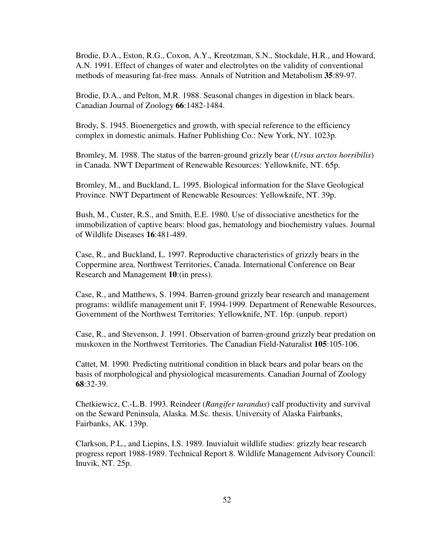Brodie, D.A., Eston, R.G., Coxon, A.Y., Kreotzman, S.N., Stockdale, H.R., and Howard, A.N. 1991. Effect of changes of water and electrolytes on the validity of conventional methods of measuring fat-free mass. Annals of Nutrition and Metabolism **35**:89-97.

Brodie, D.A., and Pelton, M.R. 1988. Seasonal changes in digestion in black bears. Canadian Journal of Zoology **66**:1482-1484.

Brody, S. 1945. Bioenergetics and growth, with special reference to the efficiency complex in domestic animals. Hafner Publishing Co.: New York, NY. 1023p.

Bromley, M. 1988. The status of the barren-ground grizzly bear (*Ursus arctos horribilis*) in Canada. NWT Department of Renewable Resources: Yellowknife, NT. 65p.

Bromley, M., and Buckland, L. 1995. Biological information for the Slave Geological Province. NWT Department of Renewable Resources: Yellowknife, NT. 39p.

Bush, M., Custer, R.S., and Smith, E.E. 1980. Use of dissociative anesthetics for the immobilization of captive bears: blood gas, hematology and biochemistry values. Journal of Wildlife Diseases **16**:481-489.

Case, R., and Buckland, L. 1997. Reproductive characteristics of grizzly bears in the Coppermine area, Northwest Territories, Canada. International Conference on Bear Research and Management **10**:(in press).

Case, R., and Matthews, S. 1994. Barren-ground grizzly bear research and management programs: wildlife management unit F, 1994-1999. Department of Renewable Resources, Government of the Northwest Territories: Yellowknife, NT. 16p. (unpub. report)

Case, R., and Stevenson, J. 1991. Observation of barren-ground grizzly bear predation on muskoxen in the Northwest Territories. The Canadian Field-Naturalist **105**:105-106.

Cattet, M. 1990. Predicting nutritional condition in black bears and polar bears on the basis of morphological and physiological measurements. Canadian Journal of Zoology **68**:32-39.

Chetkiewicz, C.-L.B. 1993. Reindeer (*Rangifer tarandus*) calf productivity and survival on the Seward Peninsula, Alaska. M.Sc. thesis. University of Alaska Fairbanks, Fairbanks, AK. 139p.

Clarkson, P.L., and Liepins, I.S. 1989. Inuvialuit wildlife studies: grizzly bear research progress report 1988-1989. Technical Report 8. Wildlife Management Advisory Council: Inuvik, NT. 25p.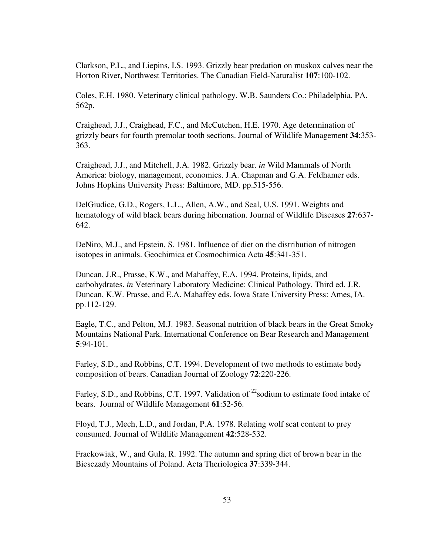Clarkson, P.L., and Liepins, I.S. 1993. Grizzly bear predation on muskox calves near the Horton River, Northwest Territories. The Canadian Field-Naturalist **107**:100-102.

Coles, E.H. 1980. Veterinary clinical pathology. W.B. Saunders Co.: Philadelphia, PA. 562p.

Craighead, J.J., Craighead, F.C., and McCutchen, H.E. 1970. Age determination of grizzly bears for fourth premolar tooth sections. Journal of Wildlife Management **34**:353- 363.

Craighead, J.J., and Mitchell, J.A. 1982. Grizzly bear. *in* Wild Mammals of North America: biology, management, economics. J.A. Chapman and G.A. Feldhamer eds. Johns Hopkins University Press: Baltimore, MD. pp.515-556.

DelGiudice, G.D., Rogers, L.L., Allen, A.W., and Seal, U.S. 1991. Weights and hematology of wild black bears during hibernation. Journal of Wildlife Diseases **27**:637- 642.

DeNiro, M.J., and Epstein, S. 1981. Influence of diet on the distribution of nitrogen isotopes in animals. Geochimica et Cosmochimica Acta **45**:341-351.

Duncan, J.R., Prasse, K.W., and Mahaffey, E.A. 1994. Proteins, lipids, and carbohydrates. *in* Veterinary Laboratory Medicine: Clinical Pathology. Third ed. J.R. Duncan, K.W. Prasse, and E.A. Mahaffey eds. Iowa State University Press: Ames, IA. pp.112-129.

Eagle, T.C., and Pelton, M.J. 1983. Seasonal nutrition of black bears in the Great Smoky Mountains National Park. International Conference on Bear Research and Management **5**:94-101.

Farley, S.D., and Robbins, C.T. 1994. Development of two methods to estimate body composition of bears. Canadian Journal of Zoology **72**:220-226.

Farley, S.D., and Robbins, C.T. 1997. Validation of <sup>22</sup>sodium to estimate food intake of bears. Journal of Wildlife Management **61**:52-56.

Floyd, T.J., Mech, L.D., and Jordan, P.A. 1978. Relating wolf scat content to prey consumed. Journal of Wildlife Management **42**:528-532.

Frackowiak, W., and Gula, R. 1992. The autumn and spring diet of brown bear in the Biesczady Mountains of Poland. Acta Theriologica **37**:339-344.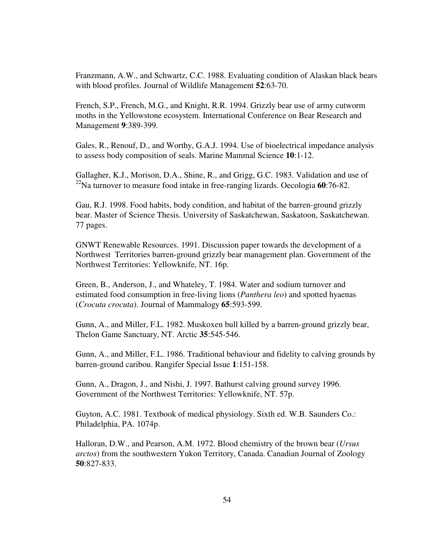Franzmann, A.W., and Schwartz, C.C. 1988. Evaluating condition of Alaskan black bears with blood profiles. Journal of Wildlife Management **52**:63-70.

French, S.P., French, M.G., and Knight, R.R. 1994. Grizzly bear use of army cutworm moths in the Yellowstone ecosystem. International Conference on Bear Research and Management **9**:389-399.

Gales, R., Renouf, D., and Worthy, G.A.J. 1994. Use of bioelectrical impedance analysis to assess body composition of seals. Marine Mammal Science **10**:1-12.

Gallagher, K.J., Morison, D.A., Shine, R., and Grigg, G.C. 1983. Validation and use of 22Na turnover to measure food intake in free-ranging lizards. Oecologia **60**:76-82.

Gau, R.J. 1998. Food habits, body condition, and habitat of the barren-ground grizzly bear. Master of Science Thesis. University of Saskatchewan, Saskatoon, Saskatchewan. 77 pages.

GNWT Renewable Resources. 1991. Discussion paper towards the development of a Northwest Territories barren-ground grizzly bear management plan. Government of the Northwest Territories: Yellowknife, NT. 16p.

Green, B., Anderson, J., and Whateley, T. 1984. Water and sodium turnover and estimated food consumption in free-living lions (*Panthera leo*) and spotted hyaenas (*Crocuta crocuta*). Journal of Mammalogy **65**:593-599.

Gunn, A., and Miller, F.L. 1982. Muskoxen bull killed by a barren-ground grizzly bear, Thelon Game Sanctuary, NT. Arctic **35**:545-546.

Gunn, A., and Miller, F.L. 1986. Traditional behaviour and fidelity to calving grounds by barren-ground caribou. Rangifer Special Issue **1**:151-158.

Gunn, A., Dragon, J., and Nishi, J. 1997. Bathurst calving ground survey 1996. Government of the Northwest Territories: Yellowknife, NT. 57p.

Guyton, A.C. 1981. Textbook of medical physiology. Sixth ed. W.B. Saunders Co.: Philadelphia, PA. 1074p.

Halloran, D.W., and Pearson, A.M. 1972. Blood chemistry of the brown bear (*Ursus arctos*) from the southwestern Yukon Territory, Canada. Canadian Journal of Zoology **50**:827-833.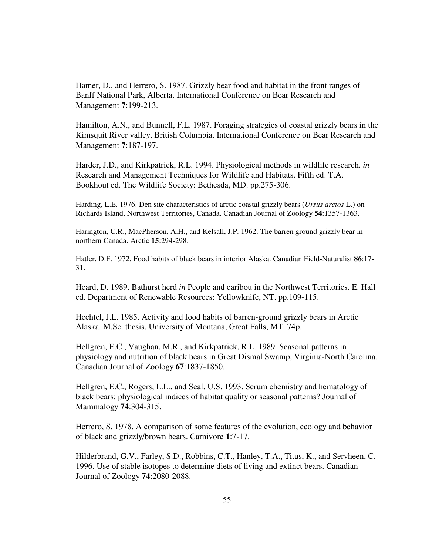Hamer, D., and Herrero, S. 1987. Grizzly bear food and habitat in the front ranges of Banff National Park, Alberta. International Conference on Bear Research and Management **7**:199-213.

Hamilton, A.N., and Bunnell, F.L. 1987. Foraging strategies of coastal grizzly bears in the Kimsquit River valley, British Columbia. International Conference on Bear Research and Management **7**:187-197.

Harder, J.D., and Kirkpatrick, R.L. 1994. Physiological methods in wildlife research. *in* Research and Management Techniques for Wildlife and Habitats. Fifth ed. T.A. Bookhout ed. The Wildlife Society: Bethesda, MD. pp.275-306.

Harding, L.E. 1976. Den site characteristics of arctic coastal grizzly bears (*Ursus arctos* L.) on Richards Island, Northwest Territories, Canada. Canadian Journal of Zoology **54**:1357-1363.

Harington, C.R., MacPherson, A.H., and Kelsall, J.P. 1962. The barren ground grizzly bear in northern Canada. Arctic **15**:294-298.

Hatler, D.F. 1972. Food habits of black bears in interior Alaska. Canadian Field-Naturalist **86**:17- 31.

Heard, D. 1989. Bathurst herd *in* People and caribou in the Northwest Territories. E. Hall ed. Department of Renewable Resources: Yellowknife, NT. pp.109-115.

Hechtel, J.L. 1985. Activity and food habits of barren-ground grizzly bears in Arctic Alaska. M.Sc. thesis. University of Montana, Great Falls, MT. 74p.

Hellgren, E.C., Vaughan, M.R., and Kirkpatrick, R.L. 1989. Seasonal patterns in physiology and nutrition of black bears in Great Dismal Swamp, Virginia-North Carolina. Canadian Journal of Zoology **67**:1837-1850.

Hellgren, E.C., Rogers, L.L., and Seal, U.S. 1993. Serum chemistry and hematology of black bears: physiological indices of habitat quality or seasonal patterns? Journal of Mammalogy **74**:304-315.

Herrero, S. 1978. A comparison of some features of the evolution, ecology and behavior of black and grizzly/brown bears. Carnivore **1**:7-17.

Hilderbrand, G.V., Farley, S.D., Robbins, C.T., Hanley, T.A., Titus, K., and Servheen, C. 1996. Use of stable isotopes to determine diets of living and extinct bears. Canadian Journal of Zoology **74**:2080-2088.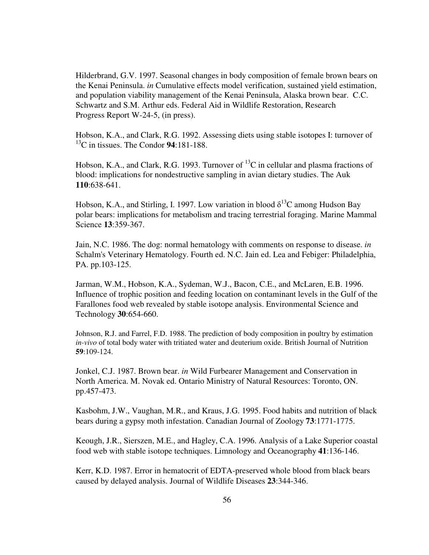Hilderbrand, G.V. 1997. Seasonal changes in body composition of female brown bears on the Kenai Peninsula. *in* Cumulative effects model verification, sustained yield estimation, and population viability management of the Kenai Peninsula, Alaska brown bear. C.C. Schwartz and S.M. Arthur eds. Federal Aid in Wildlife Restoration, Research Progress Report W-24-5, (in press).

Hobson, K.A., and Clark, R.G. 1992. Assessing diets using stable isotopes I: turnover of 13C in tissues. The Condor **94**:181-188.

Hobson, K.A., and Clark, R.G. 1993. Turnover of  $^{13}$ C in cellular and plasma fractions of blood: implications for nondestructive sampling in avian dietary studies. The Auk **110**:638-641.

Hobson, K.A., and Stirling, I. 1997. Low variation in blood  $\delta^{13}C$  among Hudson Bay polar bears: implications for metabolism and tracing terrestrial foraging. Marine Mammal Science **13**:359-367.

Jain, N.C. 1986. The dog: normal hematology with comments on response to disease. *in* Schalm's Veterinary Hematology. Fourth ed. N.C. Jain ed. Lea and Febiger: Philadelphia, PA. pp.103-125.

Jarman, W.M., Hobson, K.A., Sydeman, W.J., Bacon, C.E., and McLaren, E.B. 1996. Influence of trophic position and feeding location on contaminant levels in the Gulf of the Farallones food web revealed by stable isotope analysis. Environmental Science and Technology **30**:654-660.

Johnson, R.J. and Farrel, F.D. 1988. The prediction of body composition in poultry by estimation *in-vivo* of total body water with tritiated water and deuterium oxide. British Journal of Nutrition **59**:109-124.

Jonkel, C.J. 1987. Brown bear. *in* Wild Furbearer Management and Conservation in North America. M. Novak ed. Ontario Ministry of Natural Resources: Toronto, ON. pp.457-473.

Kasbohm, J.W., Vaughan, M.R., and Kraus, J.G. 1995. Food habits and nutrition of black bears during a gypsy moth infestation. Canadian Journal of Zoology **73**:1771-1775.

Keough, J.R., Sierszen, M.E., and Hagley, C.A. 1996. Analysis of a Lake Superior coastal food web with stable isotope techniques. Limnology and Oceanography **41**:136-146.

Kerr, K.D. 1987. Error in hematocrit of EDTA-preserved whole blood from black bears caused by delayed analysis. Journal of Wildlife Diseases **23**:344-346.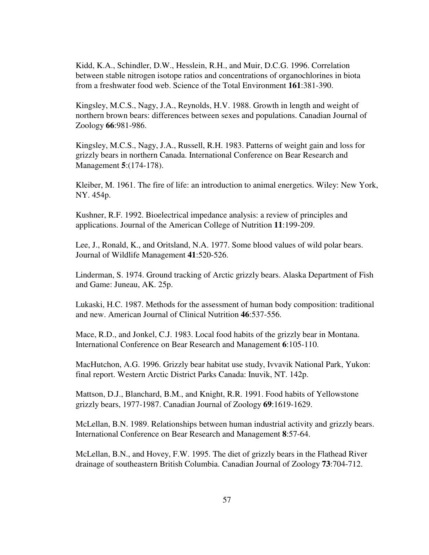Kidd, K.A., Schindler, D.W., Hesslein, R.H., and Muir, D.C.G. 1996. Correlation between stable nitrogen isotope ratios and concentrations of organochlorines in biota from a freshwater food web. Science of the Total Environment **161**:381-390.

Kingsley, M.C.S., Nagy, J.A., Reynolds, H.V. 1988. Growth in length and weight of northern brown bears: differences between sexes and populations. Canadian Journal of Zoology **66**:981-986.

Kingsley, M.C.S., Nagy, J.A., Russell, R.H. 1983. Patterns of weight gain and loss for grizzly bears in northern Canada. International Conference on Bear Research and Management **5**:(174-178).

Kleiber, M. 1961. The fire of life: an introduction to animal energetics. Wiley: New York, NY. 454p.

Kushner, R.F. 1992. Bioelectrical impedance analysis: a review of principles and applications. Journal of the American College of Nutrition **11**:199-209.

Lee, J., Ronald, K., and Oritsland, N.A. 1977. Some blood values of wild polar bears. Journal of Wildlife Management **41**:520-526.

Linderman, S. 1974. Ground tracking of Arctic grizzly bears. Alaska Department of Fish and Game: Juneau, AK. 25p.

Lukaski, H.C. 1987. Methods for the assessment of human body composition: traditional and new. American Journal of Clinical Nutrition **46**:537-556.

Mace, R.D., and Jonkel, C.J. 1983. Local food habits of the grizzly bear in Montana. International Conference on Bear Research and Management **6**:105-110.

MacHutchon, A.G. 1996. Grizzly bear habitat use study, Ivvavik National Park, Yukon: final report. Western Arctic District Parks Canada: Inuvik, NT. 142p.

Mattson, D.J., Blanchard, B.M., and Knight, R.R. 1991. Food habits of Yellowstone grizzly bears, 1977-1987. Canadian Journal of Zoology **69**:1619-1629.

McLellan, B.N. 1989. Relationships between human industrial activity and grizzly bears. International Conference on Bear Research and Management **8**:57-64.

McLellan, B.N., and Hovey, F.W. 1995. The diet of grizzly bears in the Flathead River drainage of southeastern British Columbia. Canadian Journal of Zoology **73**:704-712.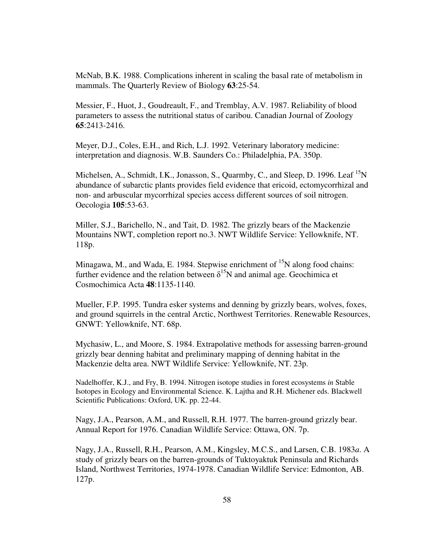McNab, B.K. 1988. Complications inherent in scaling the basal rate of metabolism in mammals. The Quarterly Review of Biology **63**:25-54.

Messier, F., Huot, J., Goudreault, F., and Tremblay, A.V. 1987. Reliability of blood parameters to assess the nutritional status of caribou. Canadian Journal of Zoology **65**:2413-2416.

Meyer, D.J., Coles, E.H., and Rich, L.J. 1992. Veterinary laboratory medicine: interpretation and diagnosis. W.B. Saunders Co.: Philadelphia, PA. 350p.

Michelsen, A., Schmidt, I.K., Jonasson, S., Quarmby, C., and Sleep, D. 1996. Leaf <sup>15</sup>N abundance of subarctic plants provides field evidence that ericoid, ectomycorrhizal and non- and arbuscular mycorrhizal species access different sources of soil nitrogen. Oecologia **105**:53-63.

Miller, S.J., Barichello, N., and Tait, D. 1982. The grizzly bears of the Mackenzie Mountains NWT, completion report no.3. NWT Wildlife Service: Yellowknife, NT. 118p.

Minagawa, M., and Wada, E. 1984. Stepwise enrichment of  $^{15}N$  along food chains: further evidence and the relation between  $\delta^{15}N$  and animal age. Geochimica et Cosmochimica Acta **48**:1135-1140.

Mueller, F.P. 1995. Tundra esker systems and denning by grizzly bears, wolves, foxes, and ground squirrels in the central Arctic, Northwest Territories. Renewable Resources, GNWT: Yellowknife, NT. 68p.

Mychasiw, L., and Moore, S. 1984. Extrapolative methods for assessing barren-ground grizzly bear denning habitat and preliminary mapping of denning habitat in the Mackenzie delta area. NWT Wildlife Service: Yellowknife, NT. 23p.

Nadelhoffer, K.J., and Fry, B. 1994. Nitrogen isotope studies in forest ecosystems *in* Stable Isotopes in Ecology and Environmental Science. K. Lajtha and R.H. Michener eds. Blackwell Scientific Publications: Oxford, UK. pp. 22-44.

Nagy, J.A., Pearson, A.M., and Russell, R.H. 1977. The barren-ground grizzly bear. Annual Report for 1976. Canadian Wildlife Service: Ottawa, ON. 7p.

Nagy, J.A., Russell, R.H., Pearson, A.M., Kingsley, M.C.S., and Larsen, C.B. 1983*a*. A study of grizzly bears on the barren-grounds of Tuktoyaktuk Peninsula and Richards Island, Northwest Territories, 1974-1978. Canadian Wildlife Service: Edmonton, AB. 127p.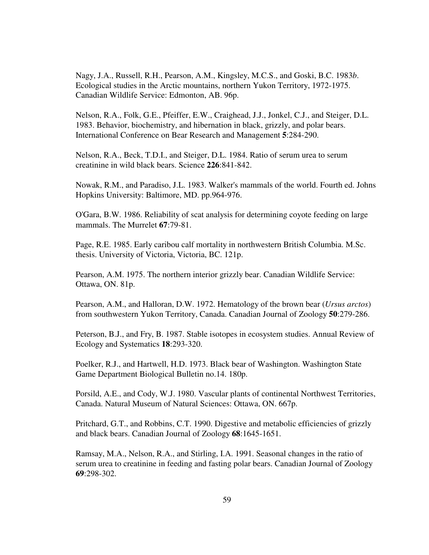Nagy, J.A., Russell, R.H., Pearson, A.M., Kingsley, M.C.S., and Goski, B.C. 1983*b*. Ecological studies in the Arctic mountains, northern Yukon Territory, 1972-1975. Canadian Wildlife Service: Edmonton, AB. 96p.

Nelson, R.A., Folk, G.E., Pfeiffer, E.W., Craighead, J.J., Jonkel, C.J., and Steiger, D.L. 1983. Behavior, biochemistry, and hibernation in black, grizzly, and polar bears. International Conference on Bear Research and Management **5**:284-290.

Nelson, R.A., Beck, T.D.I., and Steiger, D.L. 1984. Ratio of serum urea to serum creatinine in wild black bears. Science **226**:841-842.

Nowak, R.M., and Paradiso, J.L. 1983. Walker's mammals of the world. Fourth ed. Johns Hopkins University: Baltimore, MD. pp.964-976.

O'Gara, B.W. 1986. Reliability of scat analysis for determining coyote feeding on large mammals. The Murrelet **67**:79-81.

Page, R.E. 1985. Early caribou calf mortality in northwestern British Columbia. M.Sc. thesis. University of Victoria, Victoria, BC. 121p.

Pearson, A.M. 1975. The northern interior grizzly bear. Canadian Wildlife Service: Ottawa, ON. 81p.

Pearson, A.M., and Halloran, D.W. 1972. Hematology of the brown bear (*Ursus arctos*) from southwestern Yukon Territory, Canada. Canadian Journal of Zoology **50**:279-286.

Peterson, B.J., and Fry, B. 1987. Stable isotopes in ecosystem studies. Annual Review of Ecology and Systematics **18**:293-320.

Poelker, R.J., and Hartwell, H.D. 1973. Black bear of Washington. Washington State Game Department Biological Bulletin no.14. 180p.

Porsild, A.E., and Cody, W.J. 1980. Vascular plants of continental Northwest Territories, Canada. Natural Museum of Natural Sciences: Ottawa, ON. 667p.

Pritchard, G.T., and Robbins, C.T. 1990. Digestive and metabolic efficiencies of grizzly and black bears. Canadian Journal of Zoology **68**:1645-1651.

Ramsay, M.A., Nelson, R.A., and Stirling, I.A. 1991. Seasonal changes in the ratio of serum urea to creatinine in feeding and fasting polar bears. Canadian Journal of Zoology **69**:298-302.